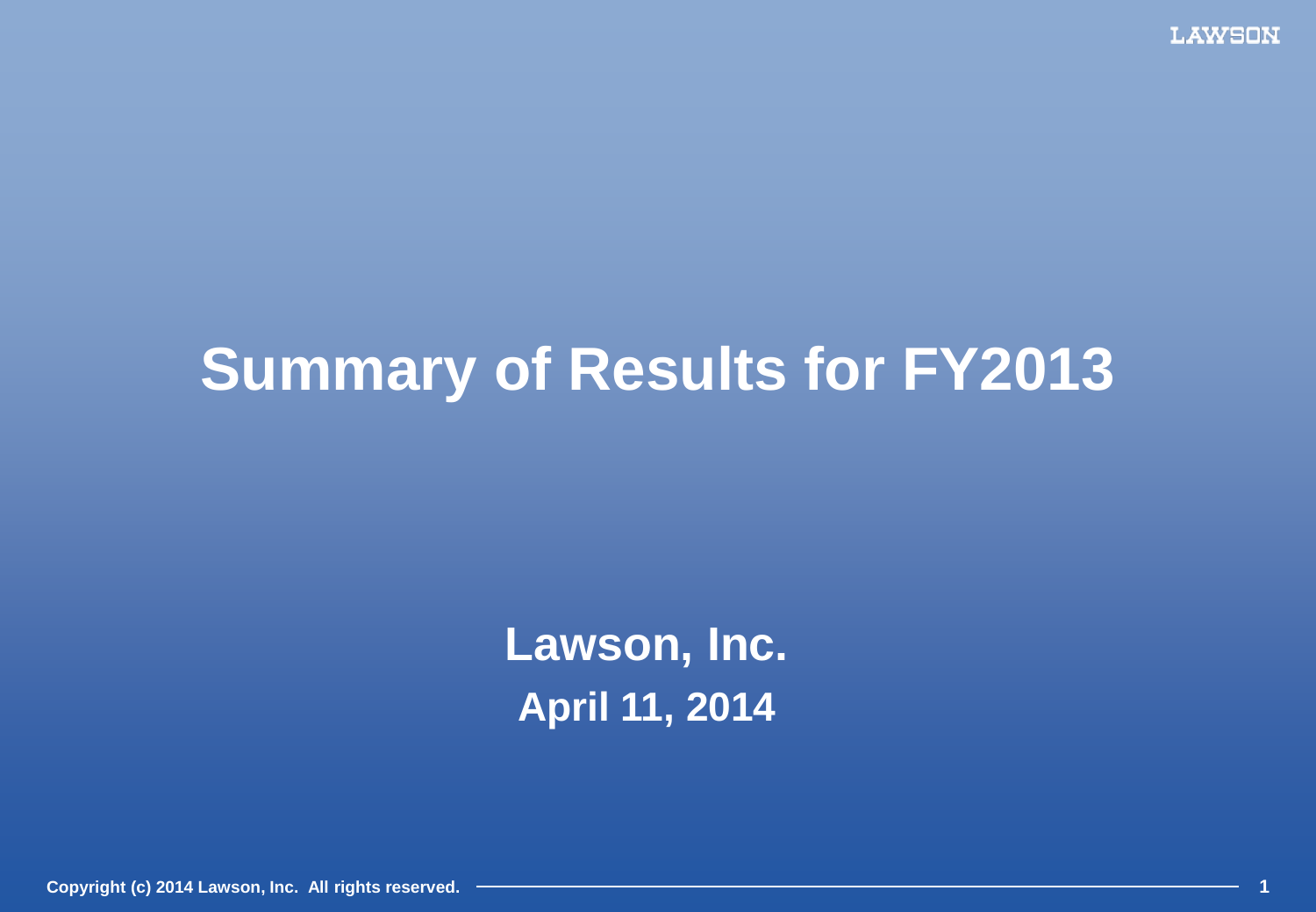**LAWSON** 

## **Summary of Results for FY2013**

**Lawson, Inc. April 11, 2014**

**Copyright (c) 2014 Lawson, Inc. All rights reserved. 1**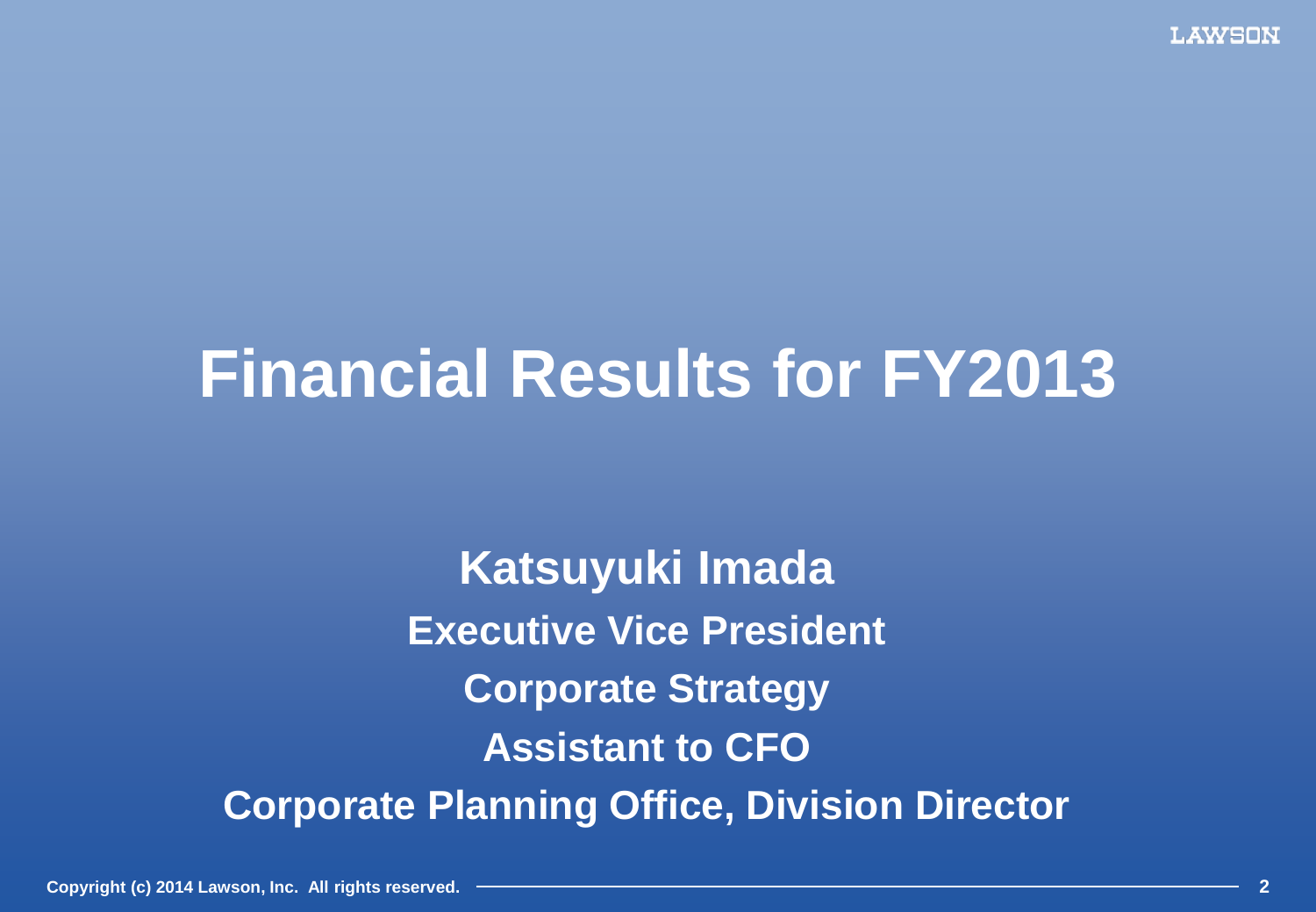# **Financial Results for FY2013**

**Katsuyuki Imada Executive Vice President Corporate Strategy Assistant to CFO Corporate Planning Office, Division Director**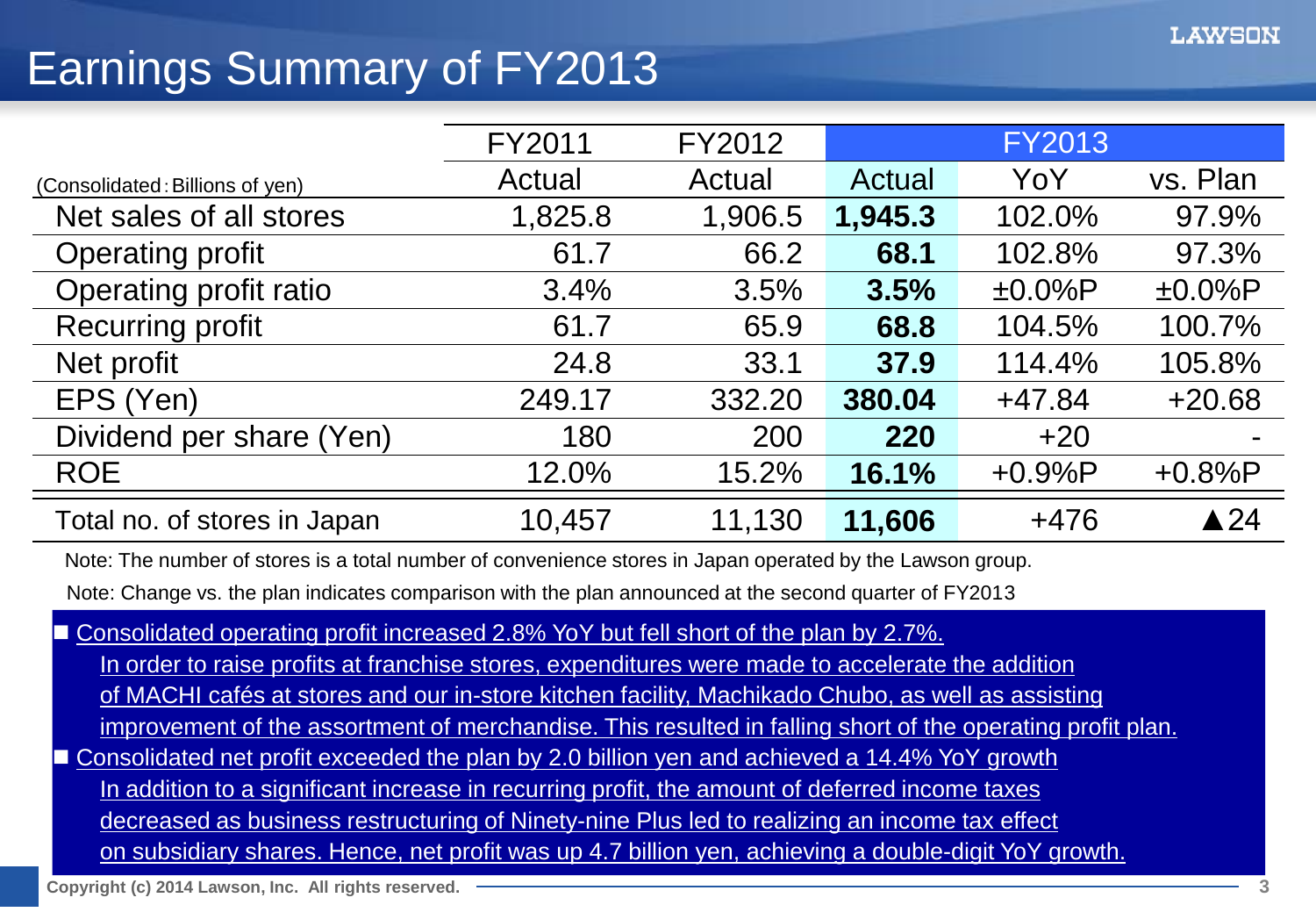## Earnings Summary of FY2013

|                                 | FY2011  | FY2012  |         | <b>FY2013</b> |                |
|---------------------------------|---------|---------|---------|---------------|----------------|
| (Consolidated: Billions of yen) | Actual  | Actual  | Actual  | YoY           | vs. Plan       |
| Net sales of all stores         | 1,825.8 | 1,906.5 | 1,945.3 | 102.0%        | 97.9%          |
| Operating profit                | 61.7    | 66.2    | 68.1    | 102.8%        | 97.3%          |
| Operating profit ratio          | 3.4%    | 3.5%    | 3.5%    | $±0.0\%P$     | $±0.0\%P$      |
| <b>Recurring profit</b>         | 61.7    | 65.9    | 68.8    | 104.5%        | 100.7%         |
| Net profit                      | 24.8    | 33.1    | 37.9    | 114.4%        | 105.8%         |
| EPS (Yen)                       | 249.17  | 332.20  | 380.04  | $+47.84$      | $+20.68$       |
| Dividend per share (Yen)        | 180     | 200     | 220     | $+20$         |                |
| <b>ROE</b>                      | 12.0%   | 15.2%   | 16.1%   | $+0.9%P$      | $+0.8%P$       |
| Total no. of stores in Japan    | 10,457  | 11,130  | 11,606  | $+476$        | $\triangle$ 24 |

Note: The number of stores is a total number of convenience stores in Japan operated by the Lawson group.

Note: Change vs. the plan indicates comparison with the plan announced at the second quarter of FY2013

Consolidated operating profit increased 2.8% YoY but fell short of the plan by 2.7%.

In order to raise profits at franchise stores, expenditures were made to accelerate the addition

of MACHI cafés at stores and our in-store kitchen facility, Machikado Chubo, as well as assisting

improvement of the assortment of merchandise. This resulted in falling short of the operating profit plan.

■ Consolidated net profit exceeded the plan by 2.0 billion yen and achieved a 14.4% YoY growth

In addition to a significant increase in recurring profit, the amount of deferred income taxes

decreased as business restructuring of Ninety-nine Plus led to realizing an income tax effect

on subsidiary shares. Hence, net profit was up 4.7 billion yen, achieving a double-digit YoY growth.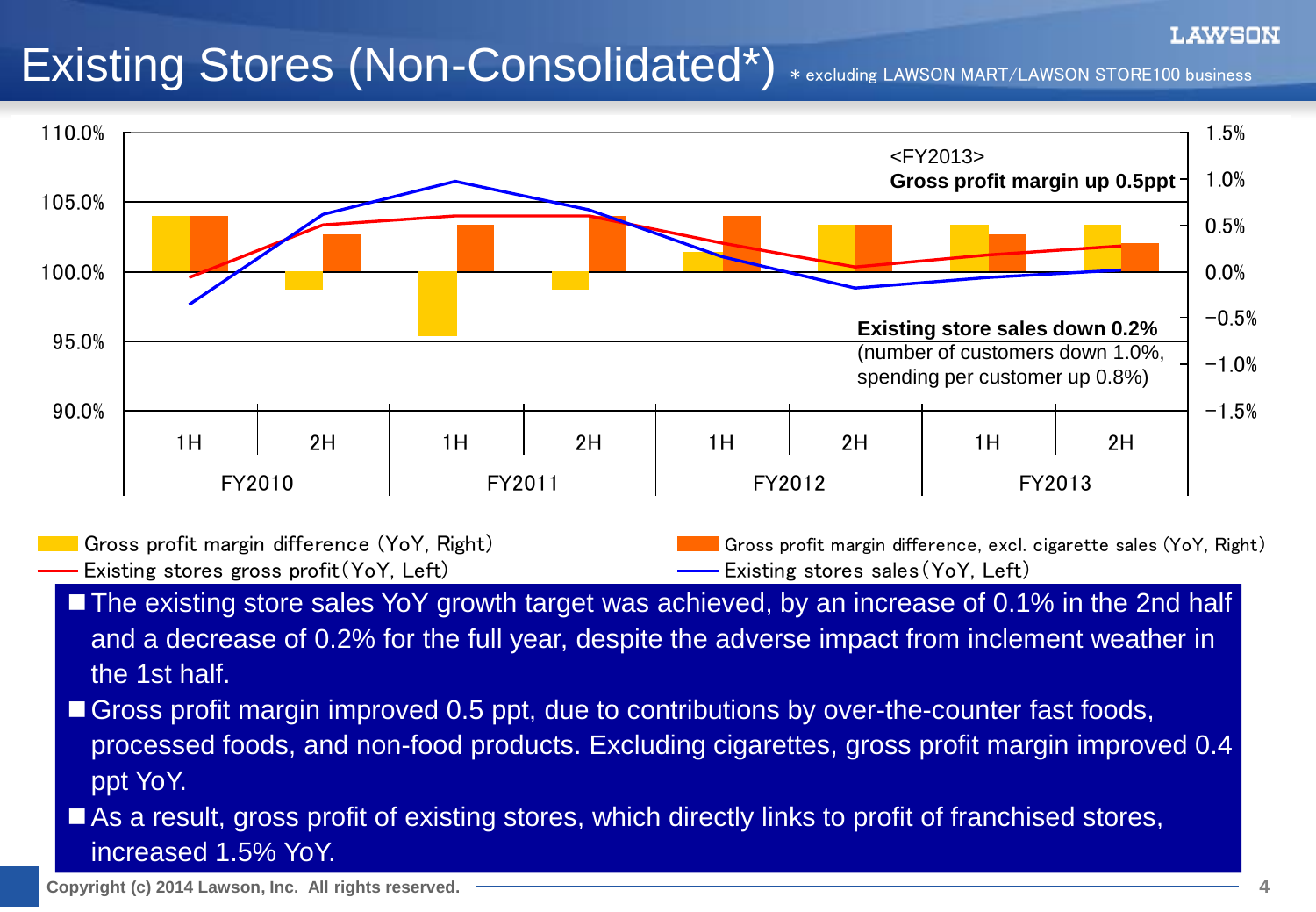## Existing Stores (Non-Consolidated\*) \* excluding LAWSON MART/LAWSON STORE100 business



Gross profit margin difference (YoY, Right) Gross profit margin difference, excl. cigarette sales (YoY, Right) Existing stores gross profit(YoY, Left) Existing stores sales (YoY, Left)

- The existing store sales YoY growth target was achieved, by an increase of 0.1% in the 2nd half and a decrease of 0.2% for the full year, despite the adverse impact from inclement weather in the 1st half.
- Gross profit margin improved 0.5 ppt, due to contributions by over-the-counter fast foods, processed foods, and non-food products. Excluding cigarettes, gross profit margin improved 0.4 ppt YoY.
- As a result, gross profit of existing stores, which directly links to profit of franchised stores, increased 1.5% YoY.

LAWSON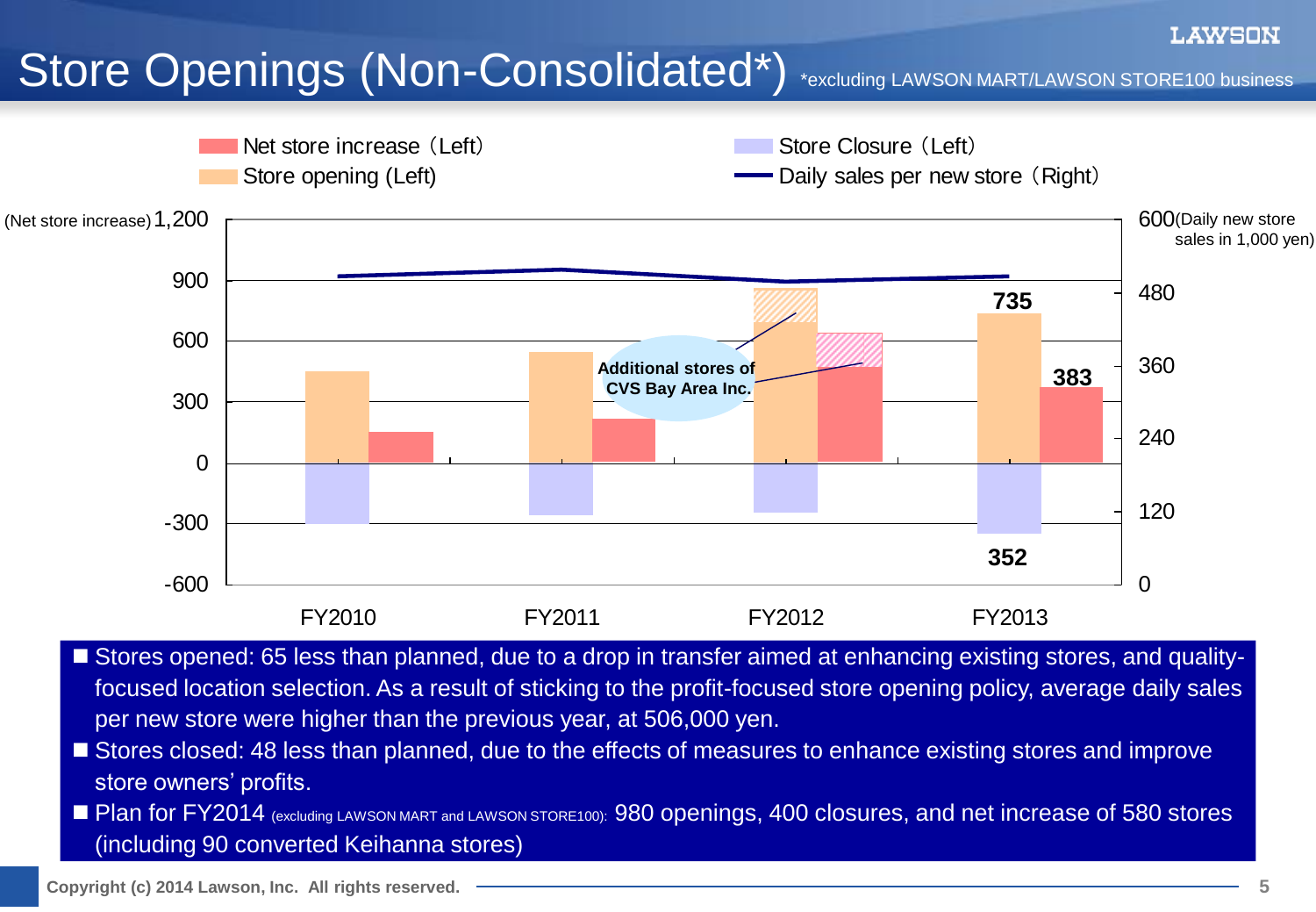## Store Openings (Non-Consolidated\*) \*excluding LAWSON MART/LAWSON STORE100 business



- Stores opened: 65 less than planned, due to a drop in transfer aimed at enhancing existing stores, and qualityfocused location selection. As a result of sticking to the profit-focused store opening policy, average daily sales per new store were higher than the previous year, at 506,000 yen.
- Stores closed: 48 less than planned, due to the effects of measures to enhance existing stores and improve store owners' profits.
- **Plan for FY2014** (excluding LAWSON MART and LAWSON STORE100): 980 openings, 400 closures, and net increase of 580 stores (including 90 converted Keihanna stores)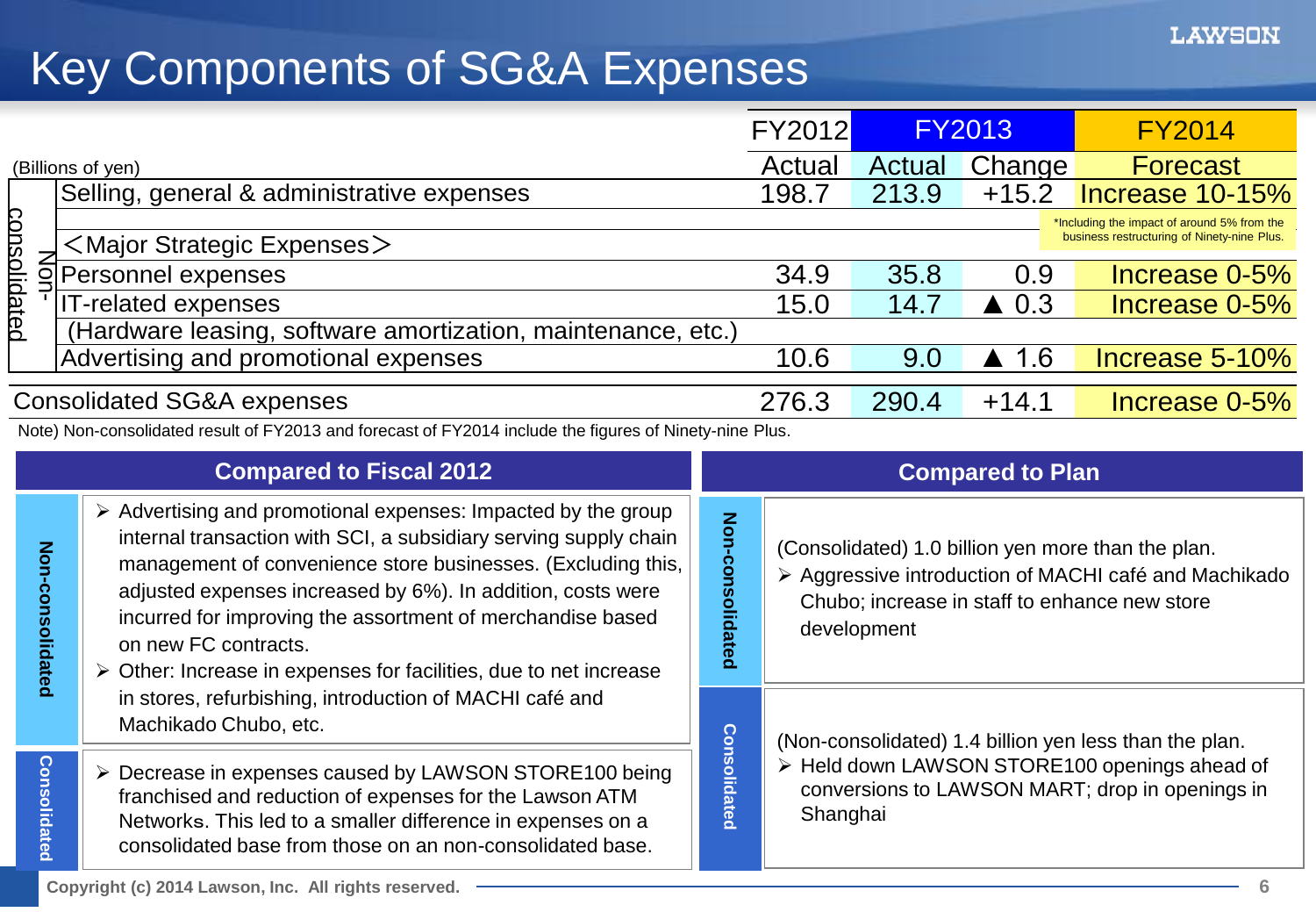## Key Components of SG&A Expenses

|                                            |                                                            |                                                                                                                                                                         |                 | <b>FY2014</b>                                                                              |
|--------------------------------------------|------------------------------------------------------------|-------------------------------------------------------------------------------------------------------------------------------------------------------------------------|-----------------|--------------------------------------------------------------------------------------------|
|                                            | Actual                                                     | Actual                                                                                                                                                                  | Change          | <b>Forecast</b>                                                                            |
| Selling, general & administrative expenses | 198.7                                                      | 213.9                                                                                                                                                                   | $+15.2$         | Increase 10-15%                                                                            |
| $<$ Major Strategic Expenses $>$           |                                                            |                                                                                                                                                                         |                 | *Including the impact of around 5% from the<br>business restructuring of Ninety-nine Plus. |
| Personnel expenses                         | 34.9                                                       | 35.8                                                                                                                                                                    | 0.9             | Increase 0-5%                                                                              |
| T-related expenses                         | 15.0                                                       | 14.7                                                                                                                                                                    | $\triangle$ 0.3 | Increase 0-5%                                                                              |
|                                            |                                                            |                                                                                                                                                                         |                 |                                                                                            |
| Advertising and promotional expenses       | 10.6                                                       | 9.0                                                                                                                                                                     | -1.6            | Increase 5-10%                                                                             |
|                                            | 276.3                                                      | 290.4                                                                                                                                                                   | $+14.1$         | Increase 0-5%                                                                              |
|                                            |                                                            |                                                                                                                                                                         |                 |                                                                                            |
| <b>Compared to Fiscal 2012</b>             |                                                            |                                                                                                                                                                         |                 |                                                                                            |
|                                            | (Billions of yen)<br><b>Consolidated SG&amp;A expenses</b> | (Hardware leasing, software amortization, maintenance, etc.)<br>Note) Non-consolidated result of FY2013 and forecast of FY2014 include the figures of Ninety-nine Plus. | <b>FY2012</b>   | <b>FY2013</b><br><b>Compared to Plan</b>                                                   |

**Consolidated Non-consolidated**

**Consolidated** 

Non-consolidated

- $\triangleright$  Advertising and promotional expenses: Impacted by the group internal transaction with SCI, a subsidiary serving supply chain management of convenience store businesses. (Excluding this, adjusted expenses increased by 6%). In addition, costs were incurred for improving the assortment of merchandise based on new FC contracts.
	- $\triangleright$  Other: Increase in expenses for facilities, due to net increase in stores, refurbishing, introduction of MACHI café and Machikado Chubo, etc.
- ▶ Decrease in expenses caused by LAWSON STORE100 being franchised and reduction of expenses for the Lawson ATM Networks. This led to a smaller difference in expenses on a consolidated base from those on an non-consolidated base.

(Consolidated) 1.0 billion yen more than the plan. Aggressive introduction of MACHI café and Machikado Chubo; increase in staff to enhance new store development

(Non-consolidated) 1.4 billion yen less than the plan.

▶ Held down LAWSON STORE100 openings ahead of conversions to LAWSON MART; drop in openings in Shanghai

**Consolidated Non-consolidated**

**Consolidated** 

Non-consolidated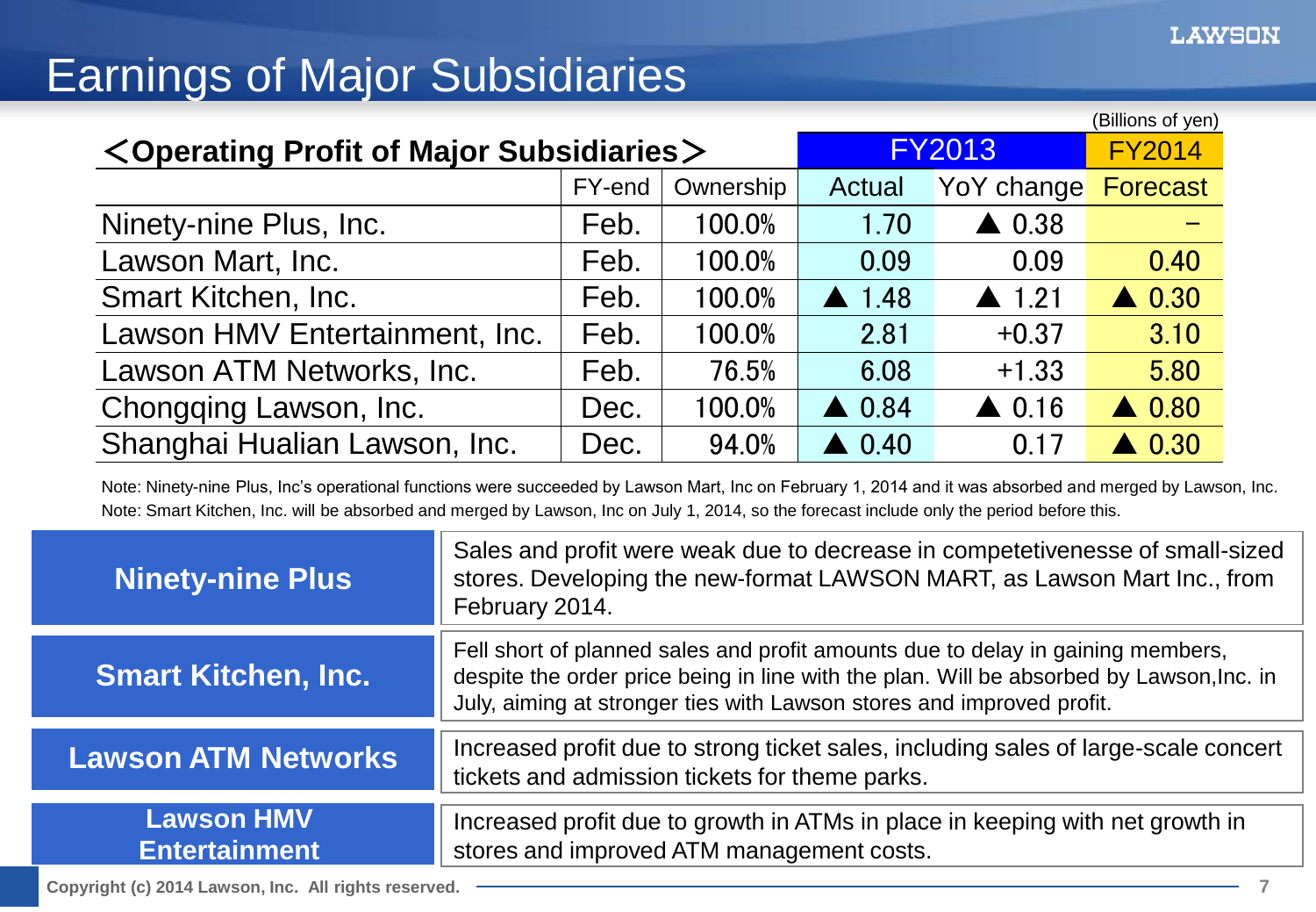## Earnings of Major Subsidiaries

| $\leq$ Operating Profit of Major Subsidiaries $\geq$ | <b>FY2013</b> | (Billions of yen)<br><b>FY2014</b> |                  |                  |                  |
|------------------------------------------------------|---------------|------------------------------------|------------------|------------------|------------------|
|                                                      | FY-end        | Ownership                          | Actual           | YoY change       | Forecast         |
| Ninety-nine Plus, Inc.                               | Feb.          | 100.0%                             | 1.70             | $\triangle$ 0.38 |                  |
| Lawson Mart, Inc.                                    | Feb.          | 100.0%                             | 0.09             | 0.09             | 0.40             |
| Smart Kitchen, Inc.                                  | Feb.          | 100.0%                             | 1.48             | $\triangle$ 1.21 | $\triangle$ 0.30 |
| Lawson HMV Entertainment, Inc.                       | Feb.          | 100.0%                             | 2.81             | $+0.37$          | 3.10             |
| Lawson ATM Networks, Inc.                            | Feb.          | 76.5%                              | 6.08             | $+1.33$          | 5.80             |
| Chongqing Lawson, Inc.                               | Dec.          | 100.0%                             | $\triangle$ 0.84 | $\triangle$ 0.16 | $\triangle$ 0.80 |
| Shanghai Hualian Lawson, Inc.                        | Dec.          | 94.0%                              | $\triangle$ 0.40 | 0.17             | $\triangle$ 0.30 |

Note: Ninety-nine Plus, Inc's operational functions were succeeded by Lawson Mart, Inc on February 1, 2014 and it was absorbed and merged by Lawson, Inc. Note: Smart Kitchen, Inc. will be absorbed and merged by Lawson, Inc on July 1, 2014, so the forecast include only the period before this.

| <b>Ninety-nine Plus</b>                   | Sales and profit were weak due to decrease in competetivenesse of small-sized<br>stores. Developing the new-format LAWSON MART, as Lawson Mart Inc., from<br>February 2014.                                                                          |
|-------------------------------------------|------------------------------------------------------------------------------------------------------------------------------------------------------------------------------------------------------------------------------------------------------|
| <b>Smart Kitchen, Inc.</b>                | Fell short of planned sales and profit amounts due to delay in gaining members,<br>despite the order price being in line with the plan. Will be absorbed by Lawson, Inc. in<br>July, aiming at stronger ties with Lawson stores and improved profit. |
| <b>Lawson ATM Networks</b>                | Increased profit due to strong ticket sales, including sales of large-scale concert<br>tickets and admission tickets for theme parks.                                                                                                                |
| <b>Lawson HMV</b><br><b>Entertainment</b> | Increased profit due to growth in ATMs in place in keeping with net growth in<br>stores and improved ATM management costs.                                                                                                                           |

**Copyright (c) 2014 Lawson, Inc. All rights reserved. 7**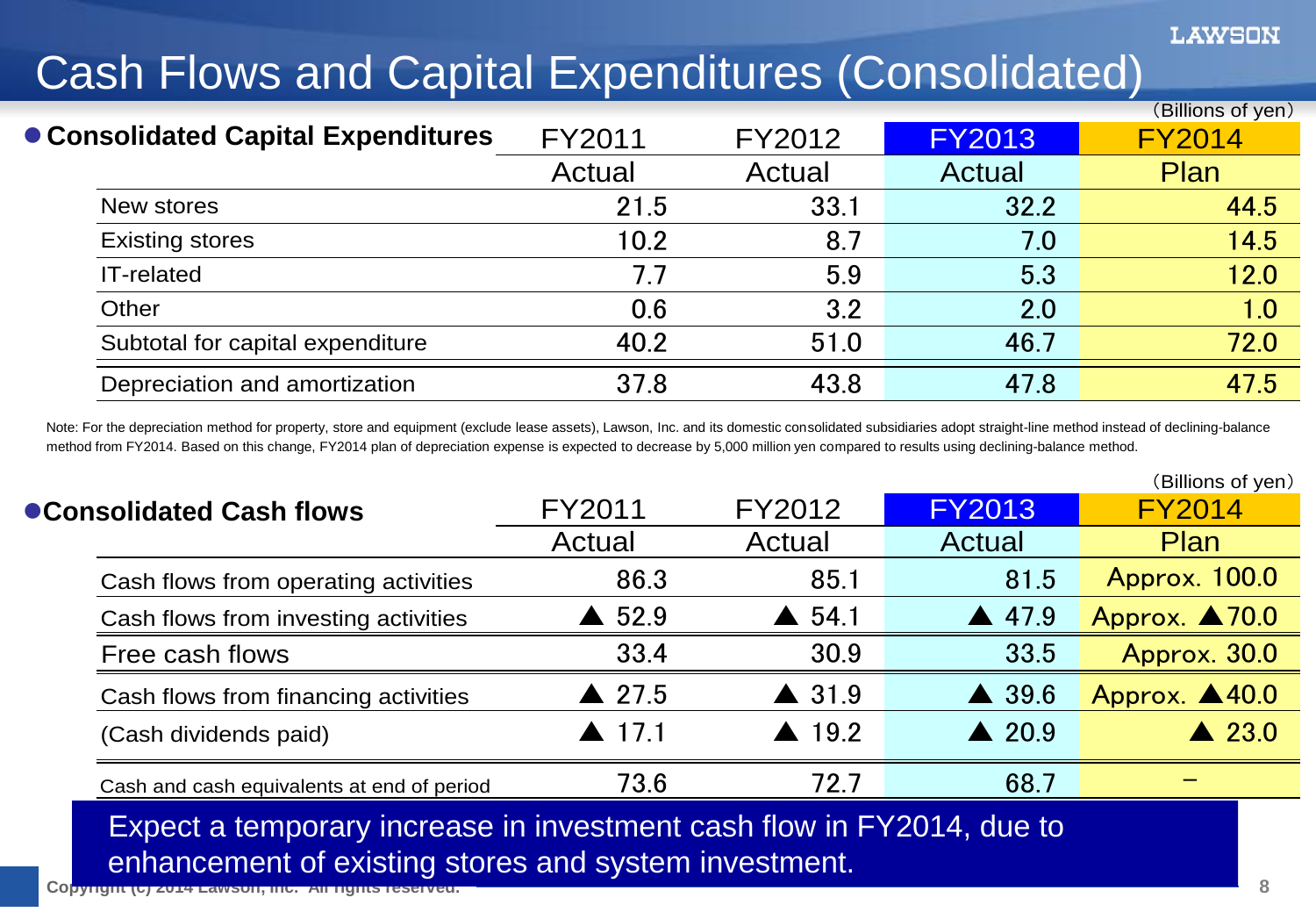## Cash Flows and Capital Expenditures (Consolidated)

|                                     |        |        |               | (Billions of yen) |
|-------------------------------------|--------|--------|---------------|-------------------|
| ● Consolidated Capital Expenditures | FY2011 | FY2012 | <b>FY2013</b> | <b>FY2014</b>     |
|                                     | Actual | Actual | <b>Actual</b> | Plan              |
| New stores                          | 21.5   | 33.1   | 32.2          | 44.5              |
| <b>Existing stores</b>              | 10.2   | 8.7    | 7.0           | 14.5              |
| IT-related                          | 7.7    | 5.9    | 5.3           | 12.0              |
| Other                               | 0.6    | 3.2    | 2.0           | 1.0               |
| Subtotal for capital expenditure    | 40.2   | 51.0   | 46.7          | 72.0              |
| Depreciation and amortization       | 37.8   | 43.8   | 47.8          | 47.5              |

Note: For the depreciation method for property, store and equipment (exclude lease assets), Lawson, Inc. and its domestic consolidated subsidiaries adopt straight-line method instead of declining-balance method from FY2014. Based on this change, FY2014 plan of depreciation expense is expected to decrease by 5,000 million yen compared to results using declining-balance method.

|                                                                       |                       |                       |                  | (Billions of yen)        |
|-----------------------------------------------------------------------|-----------------------|-----------------------|------------------|--------------------------|
| ● Consolidated Cash flows                                             | FY2011                | FY2012                | <b>FY2013</b>    | <b>FY2014</b>            |
|                                                                       | Actual                | Actual                | Actual           | <b>Plan</b>              |
| Cash flows from operating activities                                  | 86.3                  | 85.1                  | 81.5             | <b>Approx. 100.0</b>     |
| Cash flows from investing activities                                  | $\triangle$ 52.9      | $\triangle$ 54.1      | $\triangle$ 47.9 | Approx. $\triangle$ 70.0 |
| Free cash flows                                                       | 33.4                  | 30.9                  | 33.5             | Approx. 30.0             |
| Cash flows from financing activities                                  | $\triangle$ 27.5      | $\triangle$ 31.9      | $\triangle$ 39.6 | Approx. 440.0            |
| (Cash dividends paid)                                                 | $\blacktriangle$ 17.1 | $\blacktriangle$ 19.2 | $\triangle$ 20.9 | $\triangle$ 23.0         |
| Cash and cash equivalents at end of period                            | 73.6                  | 72.7                  | 68.7             |                          |
| Expect a temporary increase in investment cash flow in FY2014, due to |                       |                       |                  |                          |
| enhancement of existing stores and system investment.                 |                       |                       |                  |                          |

**Copyright (c) 2014 Lawson, Inc. All rights reserved. 8**

LAWSON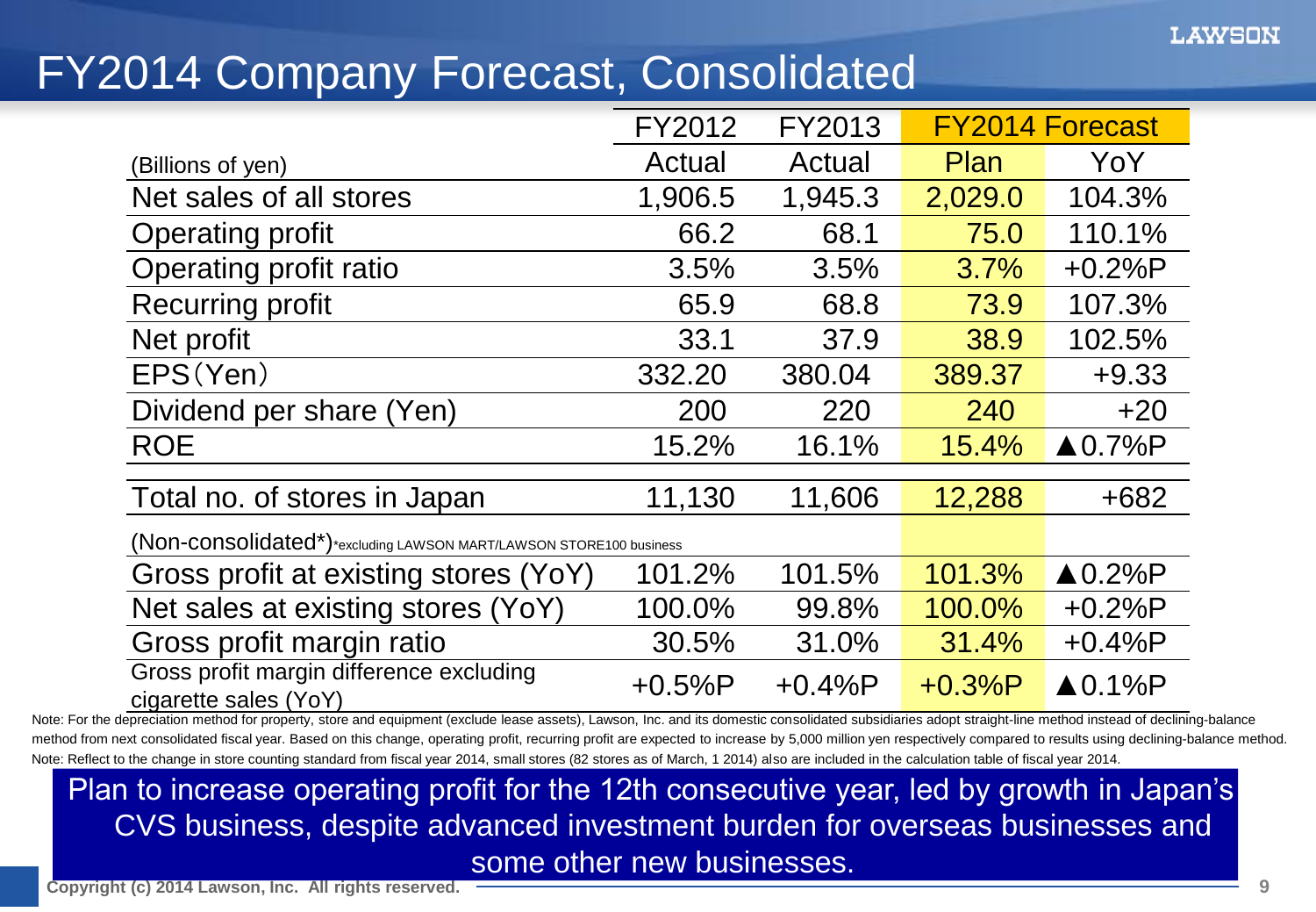## FY2014 Company Forecast, Consolidated

|                                                                    | FY2012   | FY2013   |          | <b>FY2014 Forecast</b> |
|--------------------------------------------------------------------|----------|----------|----------|------------------------|
| (Billions of yen)                                                  | Actual   | Actual   | Plan     | YoY                    |
| Net sales of all stores                                            | 1,906.5  | 1,945.3  | 2,029.0  | 104.3%                 |
| <b>Operating profit</b>                                            | 66.2     | 68.1     | 75.0     | 110.1%                 |
| Operating profit ratio                                             | 3.5%     | 3.5%     | 3.7%     | $+0.2%P$               |
| <b>Recurring profit</b>                                            | 65.9     | 68.8     | 73.9     | 107.3%                 |
| Net profit                                                         | 33.1     | 37.9     | 38.9     | 102.5%                 |
| EPS(Yen)                                                           | 332.20   | 380.04   | 389.37   | $+9.33$                |
| Dividend per share (Yen)                                           | 200      | 220      | 240      | $+20$                  |
| <b>ROE</b>                                                         | 15.2%    | 16.1%    | 15.4%    | $\triangle$ 0.7%P      |
| Total no. of stores in Japan                                       | 11,130   | 11,606   | 12,288   | $+682$                 |
| (Non-consolidated*)*excluding LAWSON MART/LAWSON STORE100 business |          |          |          |                        |
| Gross profit at existing stores (YoY)                              | 101.2%   | 101.5%   | 101.3%   | $\triangle 0.2\%$ P    |
| Net sales at existing stores (YoY)                                 | 100.0%   | 99.8%    | 100.0%   | $+0.2%P$               |
| Gross profit margin ratio                                          | 30.5%    | 31.0%    | 31.4%    | $+0.4%P$               |
| Gross profit margin difference excluding<br>cigarette sales (YoY)  | $+0.5%P$ | $+0.4%P$ | $+0.3%P$ | $\triangle$ 0.1%P      |

Note: For the depreciation method for property, store and equipment (exclude lease assets), Lawson, Inc. and its domestic consolidated subsidiaries adopt straight-line method instead of declining-balance method from next consolidated fiscal year. Based on this change, operating profit, recurring profit are expected to increase by 5,000 million yen respectively compared to results using declining-balance method. Note: Reflect to the change in store counting standard from fiscal year 2014, small stores (82 stores as of March, 1 2014) also are included in the calculation table of fiscal year 2014.

Plan to increase operating profit for the 12th consecutive year, led by growth in Japan's CVS business, despite advanced investment burden for overseas businesses and some other new businesses.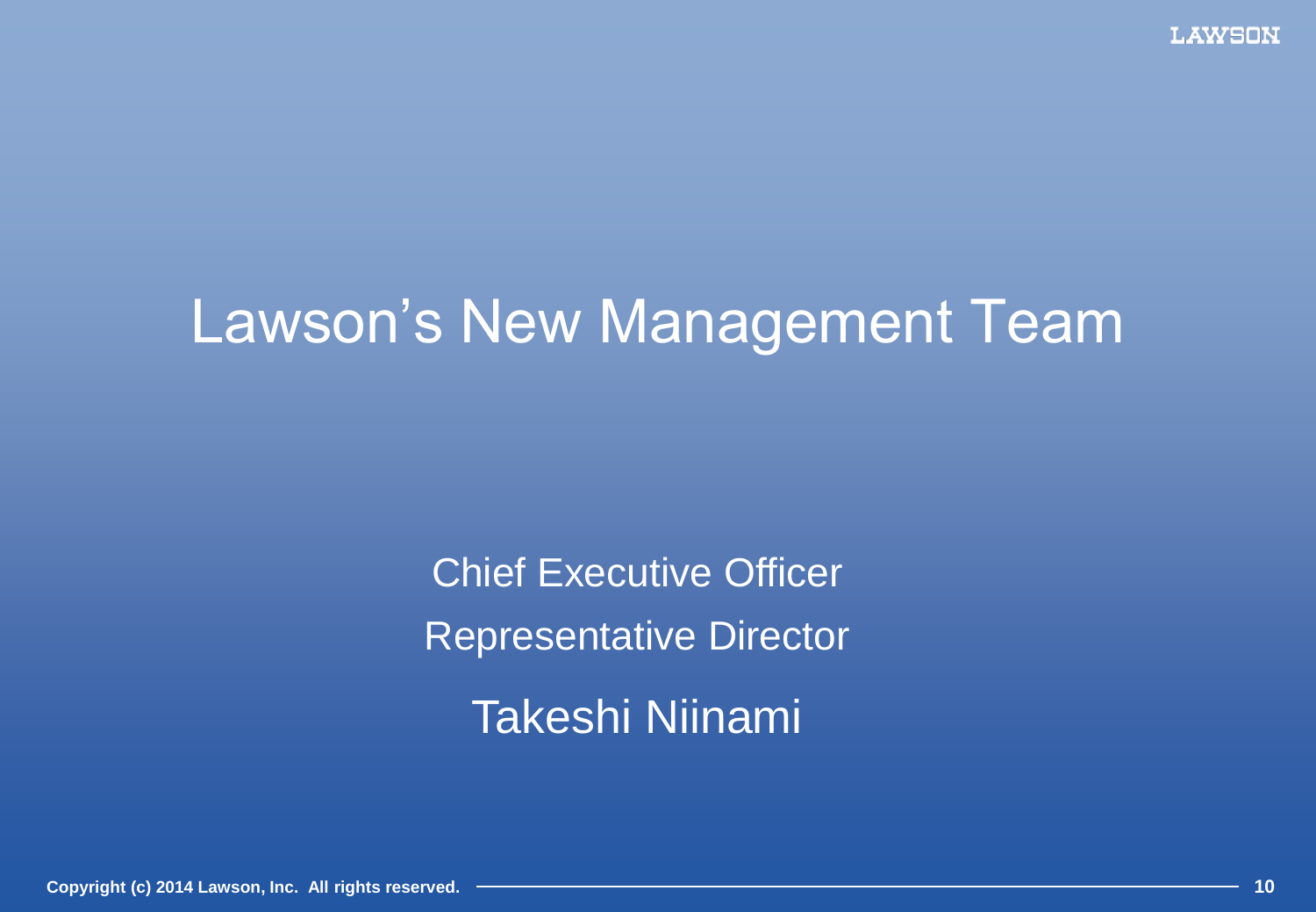## Lawson's New Management Team

Chief Executive Officer Representative Director Takeshi Niinami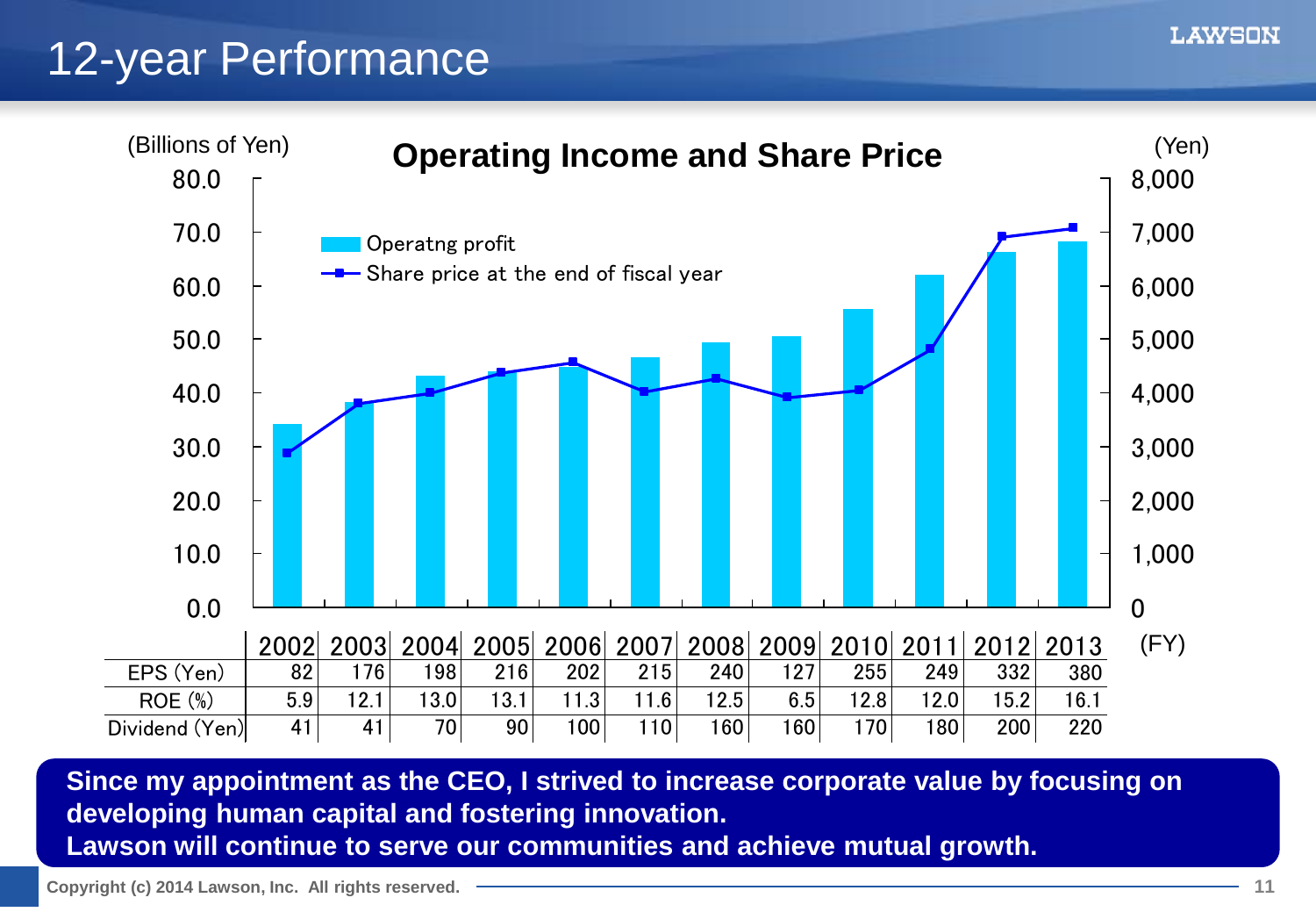## 12-year Performance



**Since my appointment as the CEO, I strived to increase corporate value by focusing on developing human capital and fostering innovation. Lawson will continue to serve our communities and achieve mutual growth.**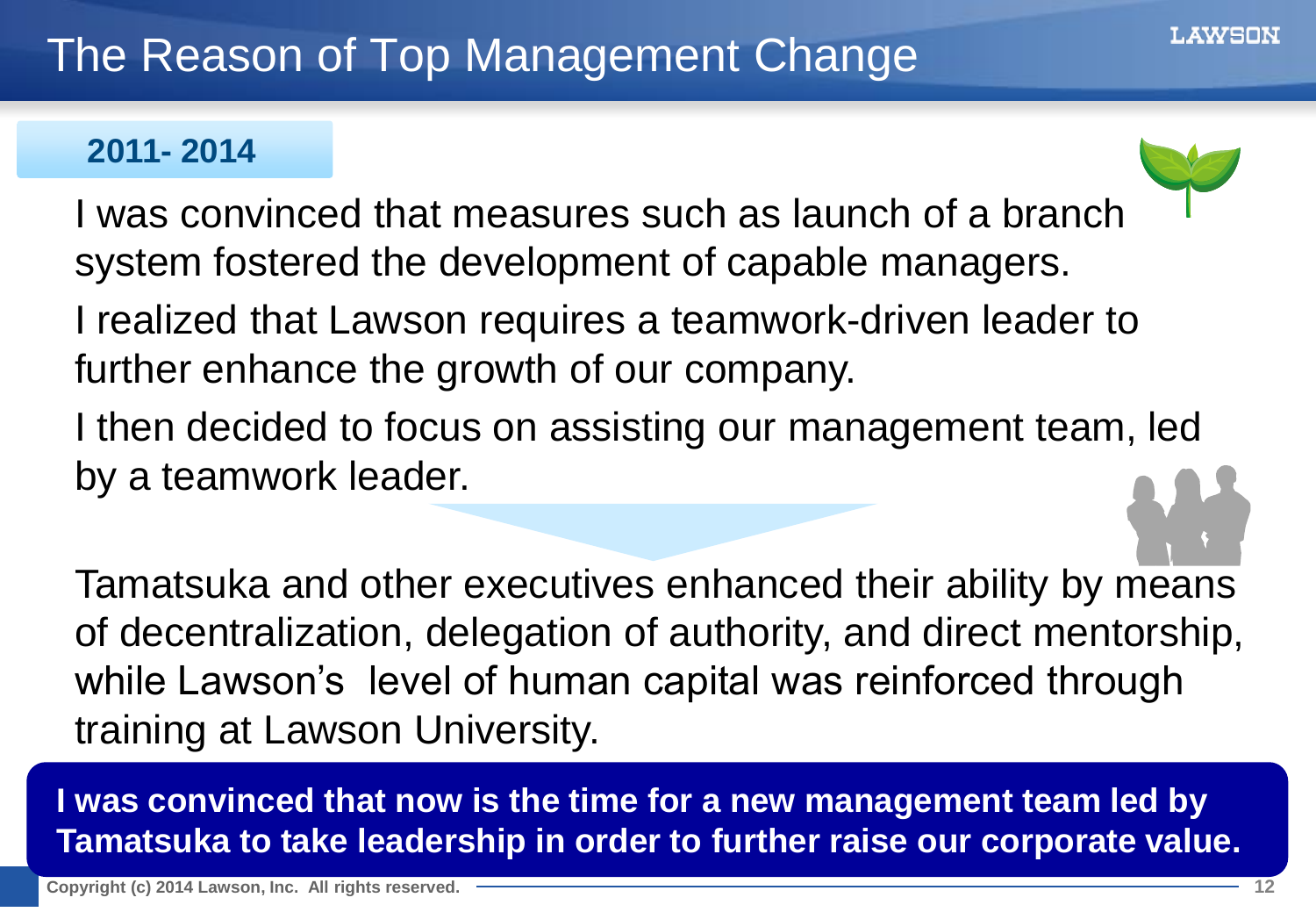#### **2011- 2014**



I was convinced that measures such as launch of a branch system fostered the development of capable managers.

- I realized that Lawson requires a teamwork-driven leader to further enhance the growth of our company.
- I then decided to focus on assisting our management team, led by a teamwork leader.

Tamatsuka and other executives enhanced their ability by means of decentralization, delegation of authority, and direct mentorship, while Lawson's level of human capital was reinforced through training at Lawson University.

**I was convinced that now is the time for a new management team led by Tamatsuka to take leadership in order to further raise our corporate value.**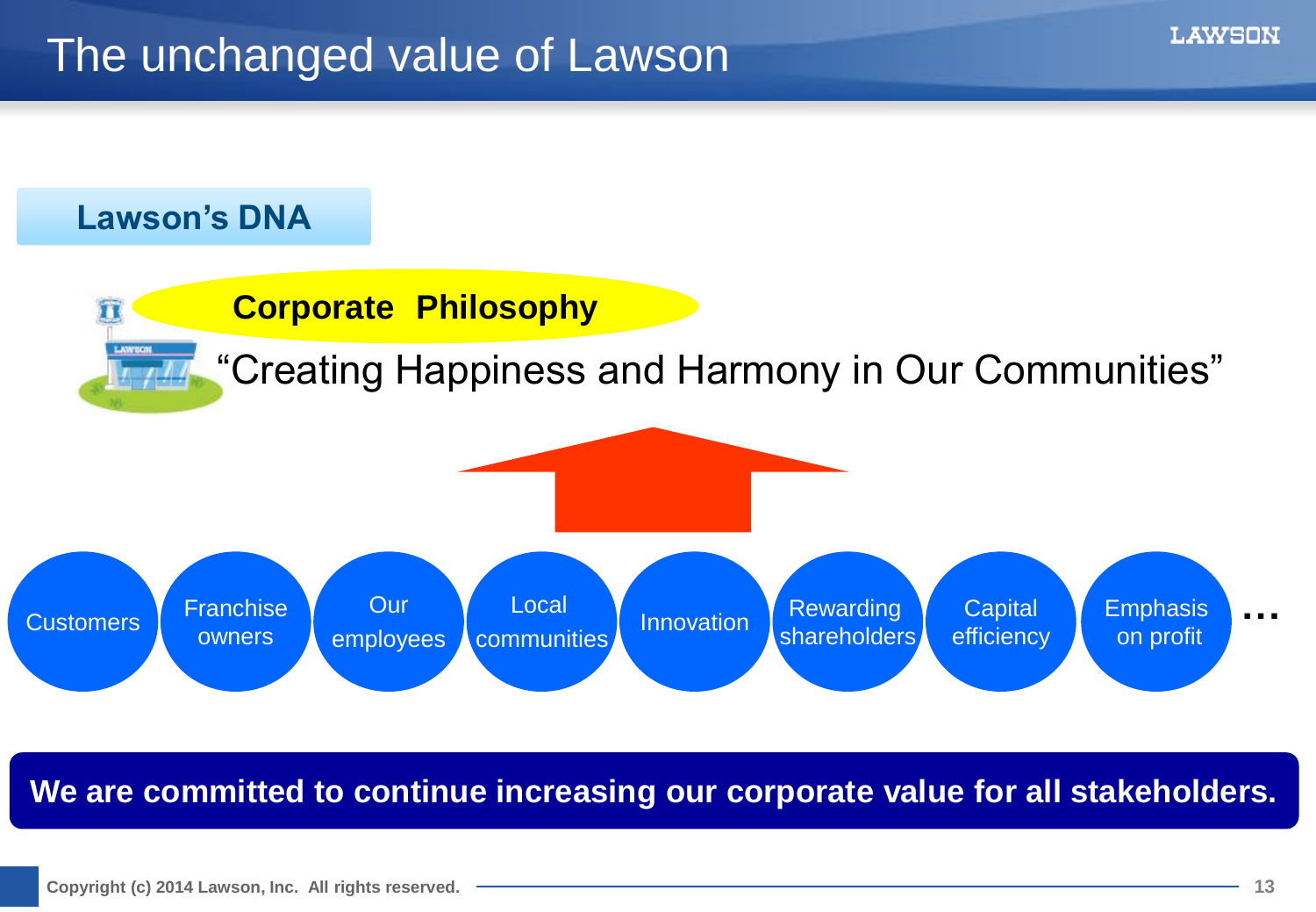## The unchanged value of Lawson

#### **Lawson's DNA**



**We are committed to continue increasing our corporate value for all stakeholders.**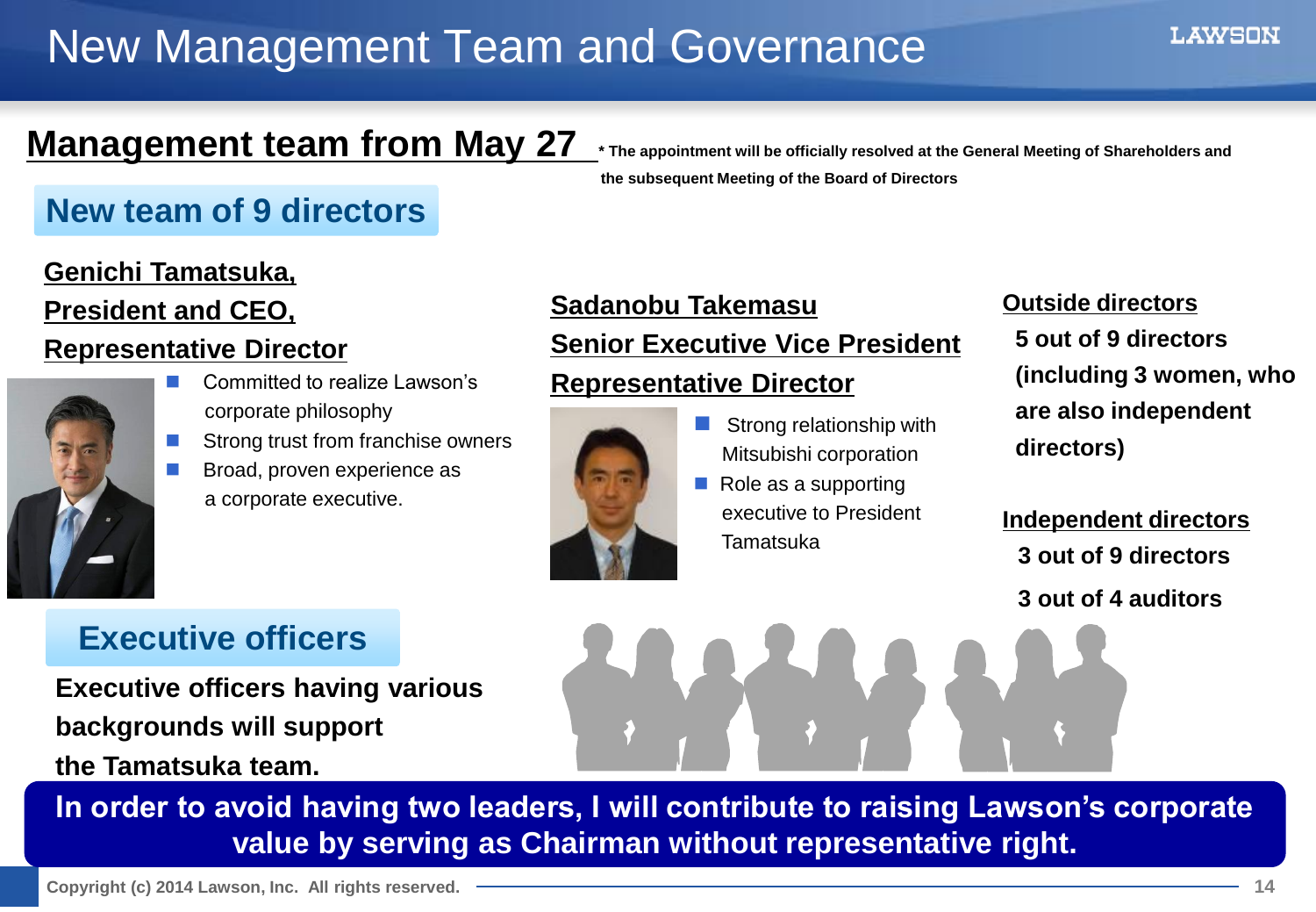## New Management Team and Governance

LAWSON

## **Management team from May 27** interspontivable officially resolved at the General Meeting of Shareholders and

#### **New team of 9 directors**

#### **Genichi Tamatsuka, President and CEO,**

#### **Representative Director**



- Committed to realize Lawson's corporate philosophy
- Strong trust from franchise owners
- **Broad, proven experience as** a corporate executive.

### **Sadanobu Takemasu Senior Executive Vice President**

 **the subsequent Meeting of the Board of Directors**

#### **Representative Director**



- Strong relationship with Mitsubishi corporation
- $\blacksquare$  Role as a supporting executive to President Tamatsuka

#### **Outside directors 5 out of 9 directors (including 3 women, who are also independent directors)**

**Independent directors 3 out of 9 directors 3 out of 4 auditors**

#### **Executive officers**

**Executive officers having various backgrounds will support the Tamatsuka team.**

**In order to avoid having two leaders, I will contribute to raising Lawson's corporate** 

**value by serving as Chairman without representative right.**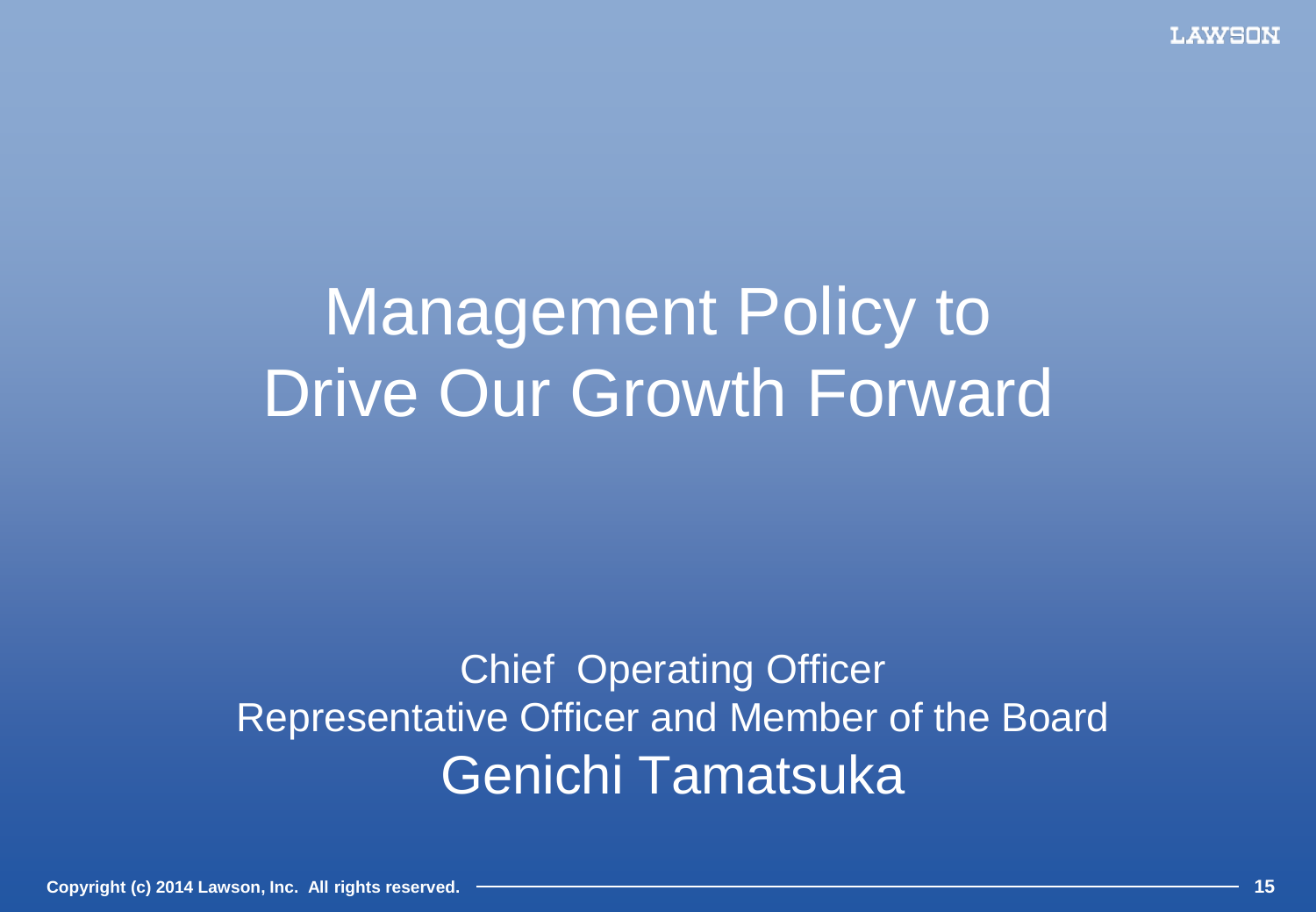# Management Policy to Drive Our Growth Forward

## Chief Operating Officer Representative Officer and Member of the Board Genichi Tamatsuka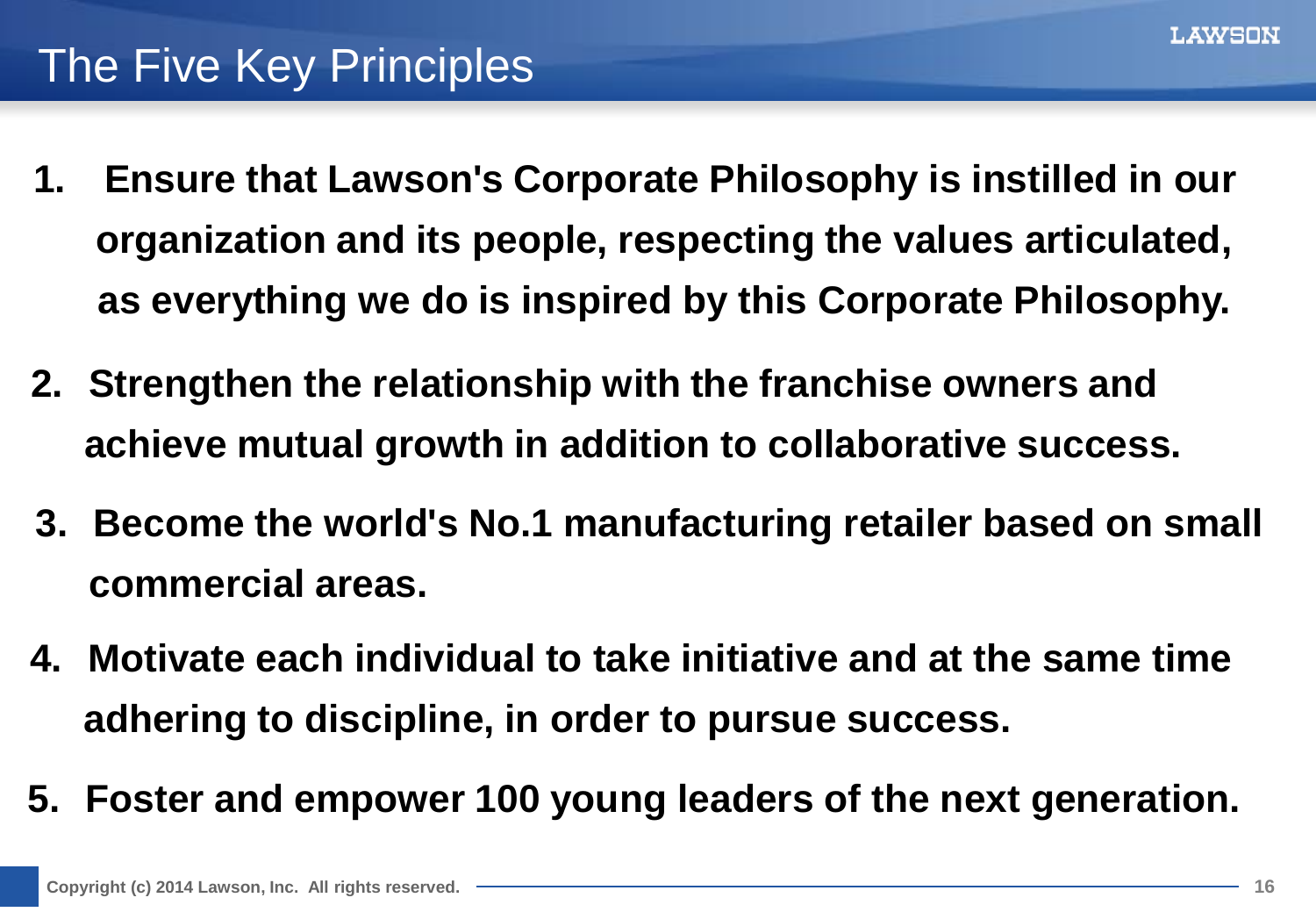## The Five Key Principles

- **1. Ensure that Lawson's Corporate Philosophy is instilled in our organization and its people, respecting the values articulated, as everything we do is inspired by this Corporate Philosophy.**
- **2. Strengthen the relationship with the franchise owners and achieve mutual growth in addition to collaborative success.**
- **3. Become the world's No.1 manufacturing retailer based on small commercial areas.**
- **4. Motivate each individual to take initiative and at the same time adhering to discipline, in order to pursue success.**
- **5. Foster and empower 100 young leaders of the next generation.**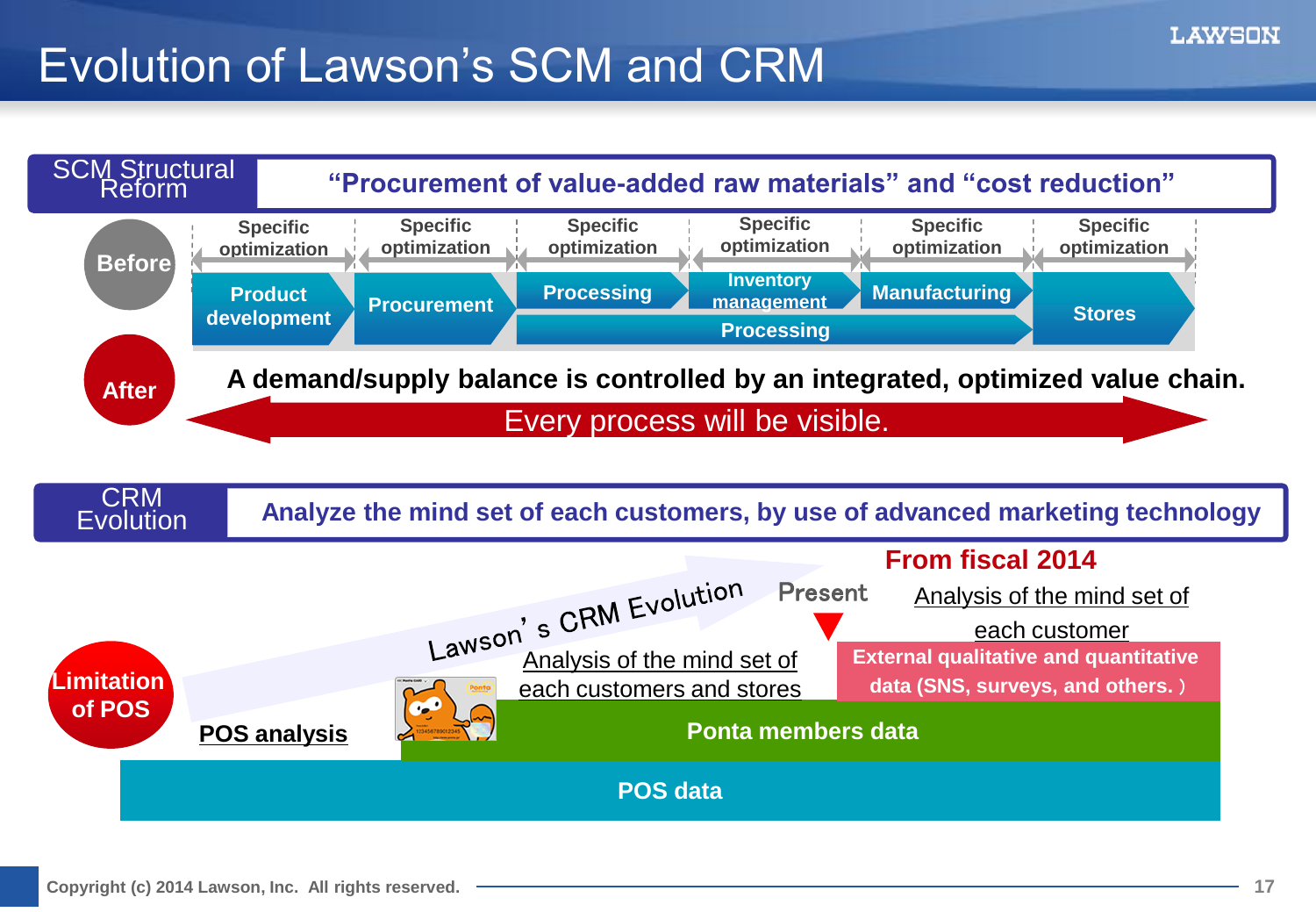## Evolution of Lawson's SCM and CRM

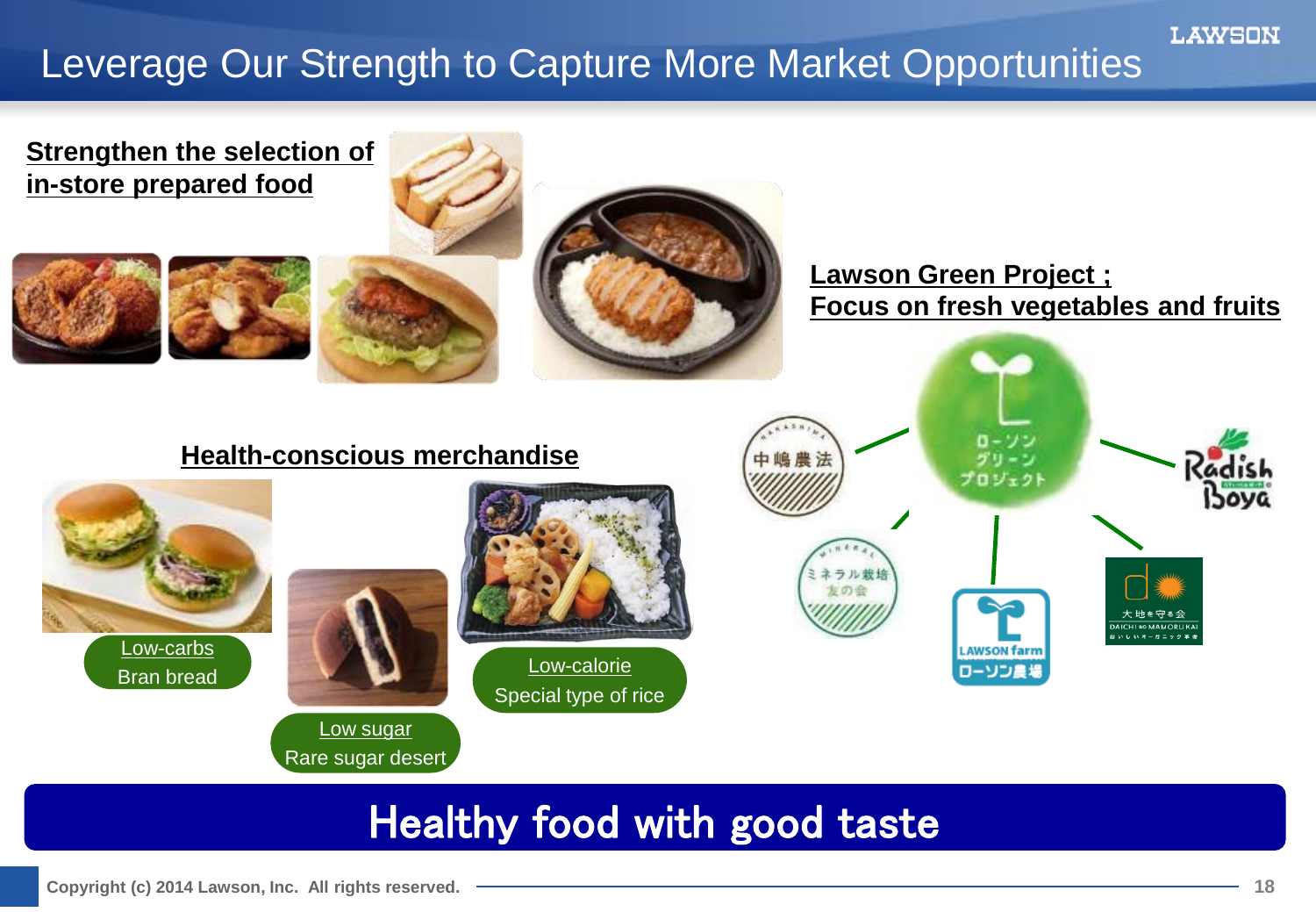## Leverage Our Strength to Capture More Market Opportunities



## Healthy food with good taste

**LAWSON**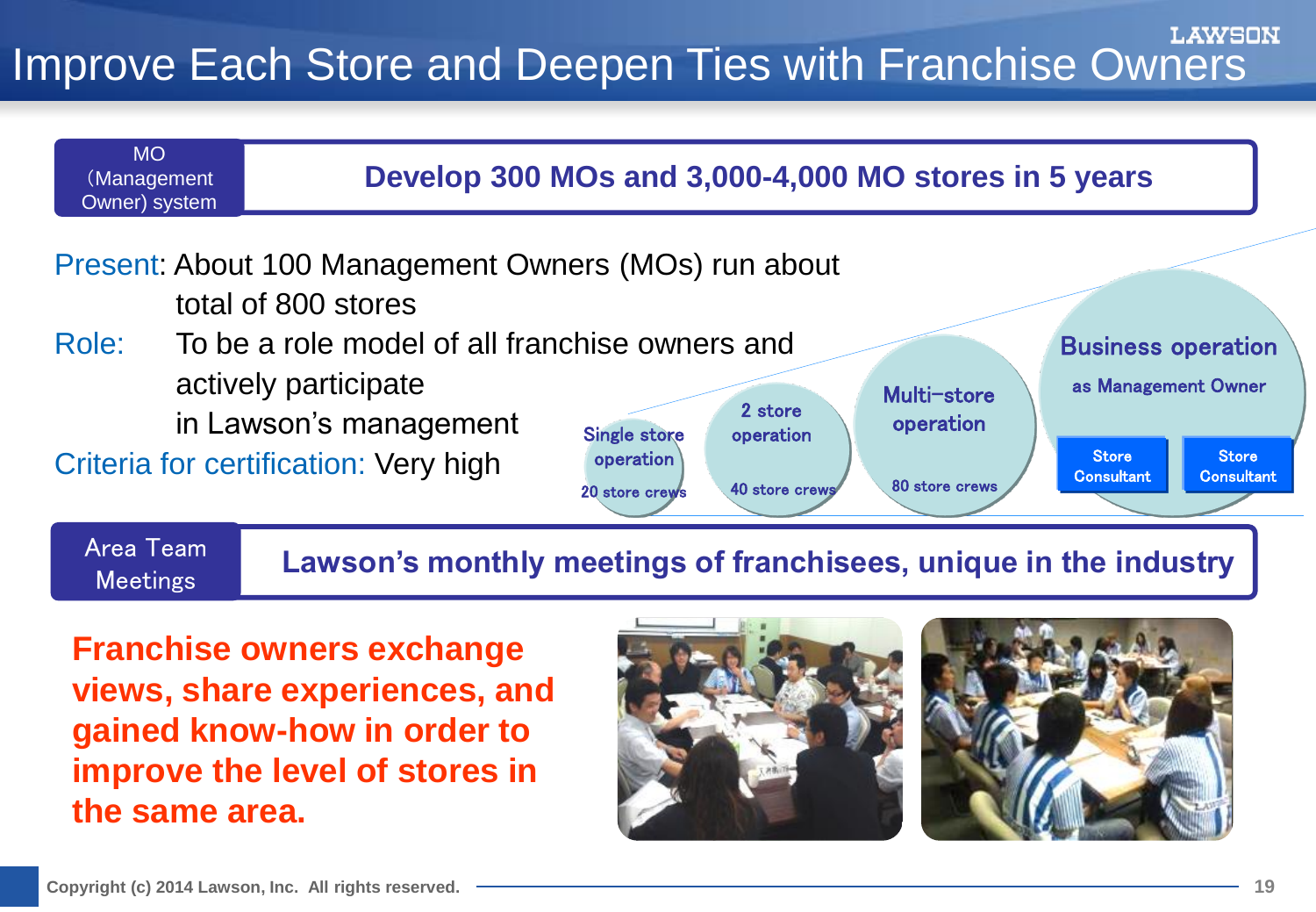#### WSON Improve Each Store and Deepen Ties with Franchise Owners



**Franchise owners exchange views, share experiences, and gained know-how in order to improve the level of stores in the same area.**



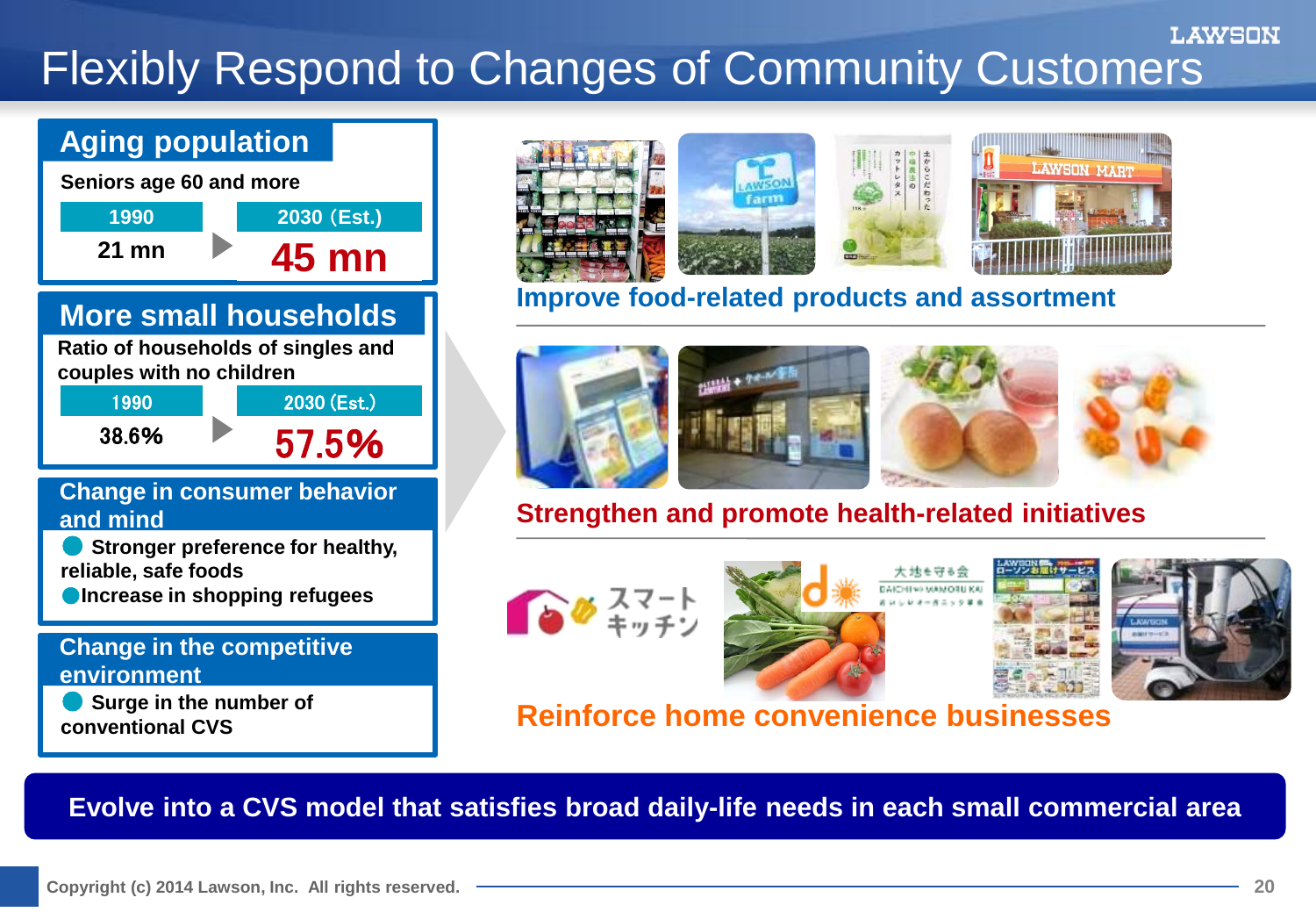#### LAWSON Flexibly Respond to Changes of Community Customers

#### **Aging population**



#### **More small households**

**Ratio of households of singles and couples with no children**

> 1990 38.6% 2030 (Est.) 57.5%

#### **Change in consumer behavior and mind**

**Stronger preference for healthy, reliable, safe foods**

**Increase in shopping refugees** 

#### **Change in the competitive environment**

**Surge in the number of conventional CVS**



#### **Improve food-related products and assortment**



#### **Strengthen and promote health-related initiatives**



×



#### **Reinforce home convenience businesses**

**Evolve into a CVS model that satisfies broad daily-life needs in each small commercial area**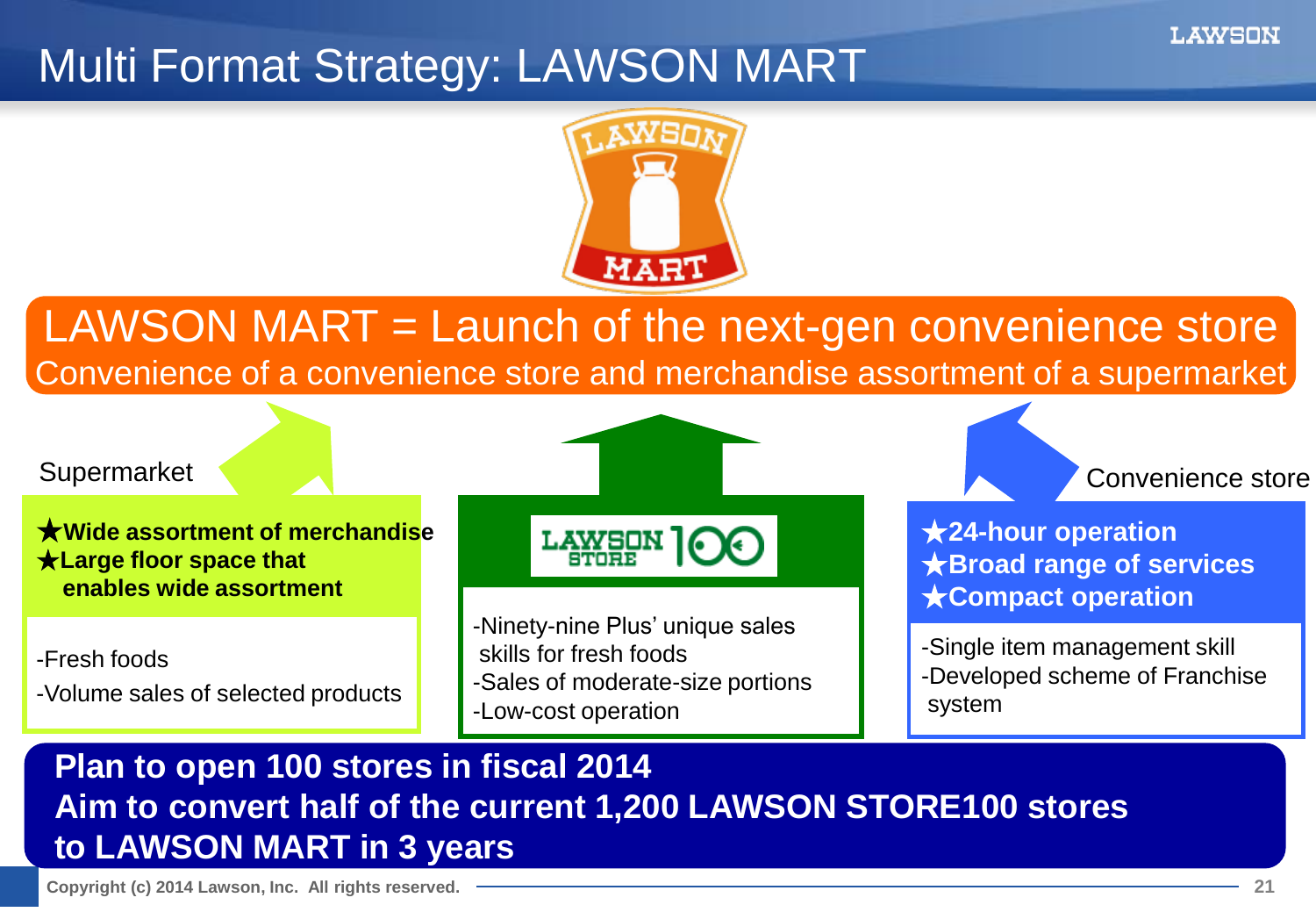## Multi Format Strategy: LAWSON MART



## LAWSON MART = Launch of the next-gen convenience store Convenience of a convenience store and merchandise assortment of a supermarket

#### **Supermarket**

★**Wide assortment of merchandise** ★**Large floor space that enables wide assortment**

-Fresh foods -Volume sales of selected products LAWSON

-Ninety-nine Plus' unique sales skills for fresh foods -Sales of moderate-size portions -Low-cost operation

Convenience store

★**24-hour operation** ★**Broad range of services** ★**Compact operation**

-Single item management skill -Developed scheme of Franchise system

#### **Plan to open 100 stores in fiscal 2014 Aim to convert half of the current 1,200 LAWSON STORE100 stores to LAWSON MART in 3 years**

**Copyright (c) 2014 Lawson, Inc. All rights reserved. 21**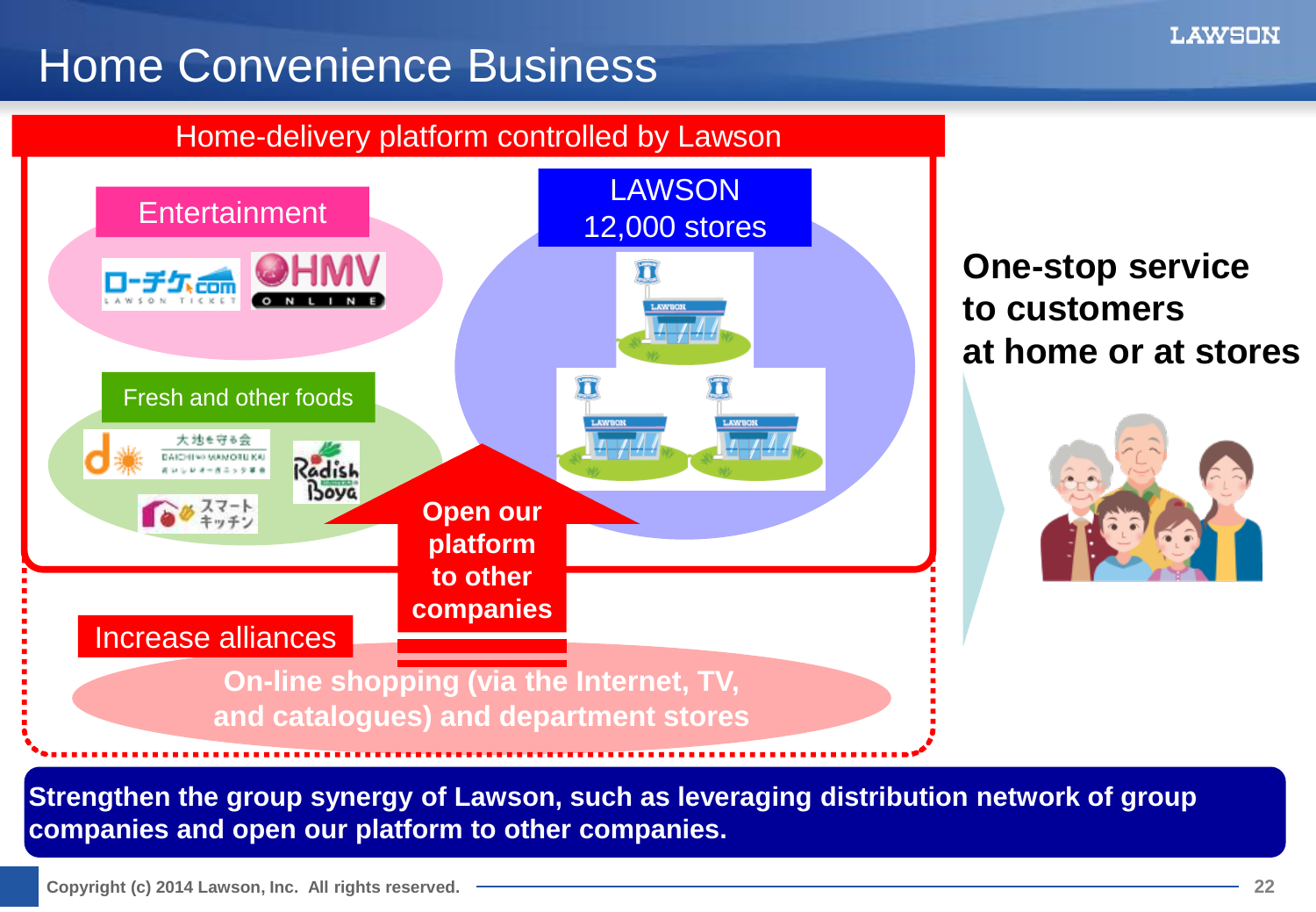## Home Convenience Business

#### Home-delivery platform controlled by Lawson



**One-stop service to customers at home or at stores**



**Strengthen the group synergy of Lawson, such as leveraging distribution network of group companies and open our platform to other companies.**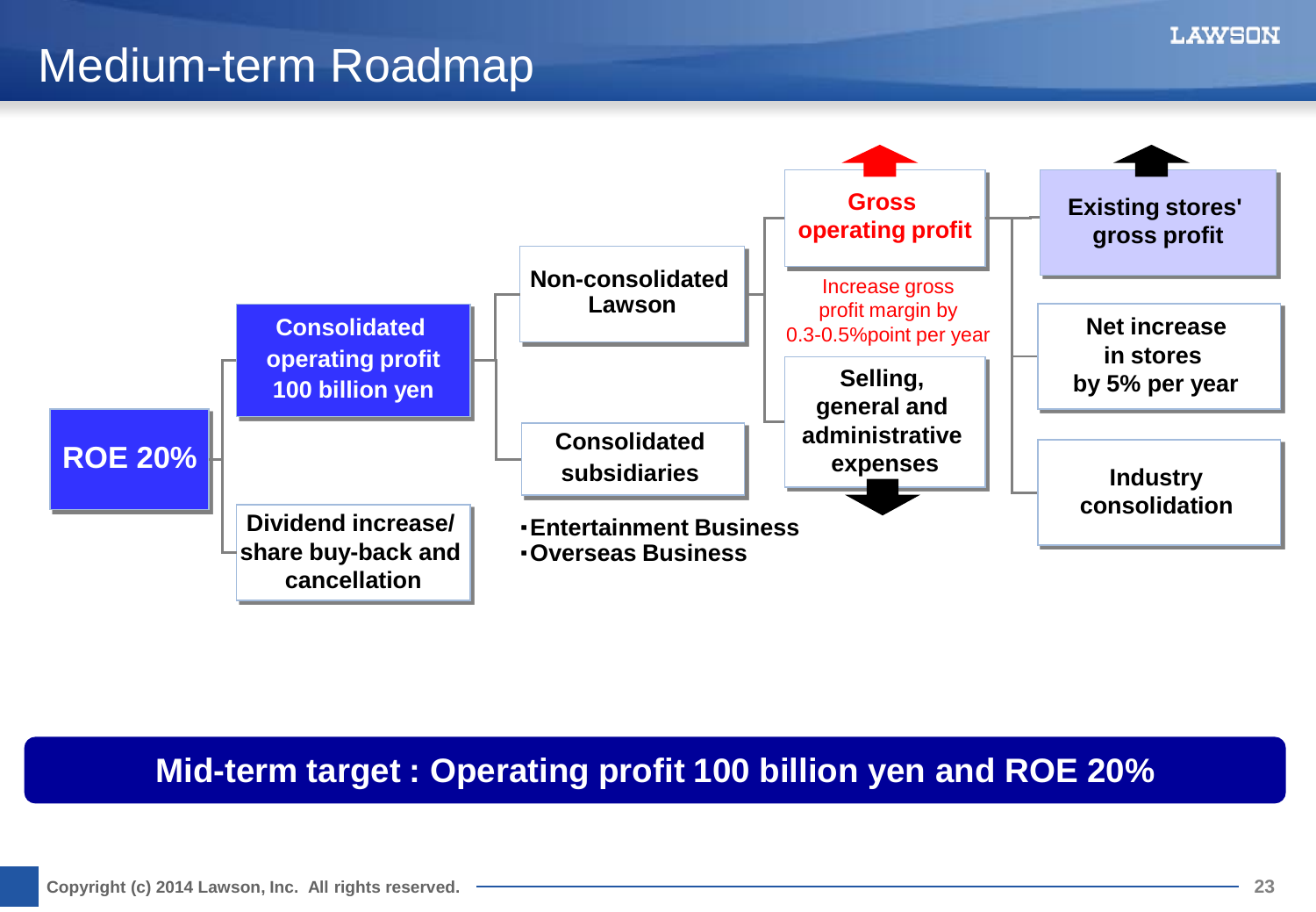## Medium-term Roadmap



#### **Mid-term target : Operating profit 100 billion yen and ROE 20%**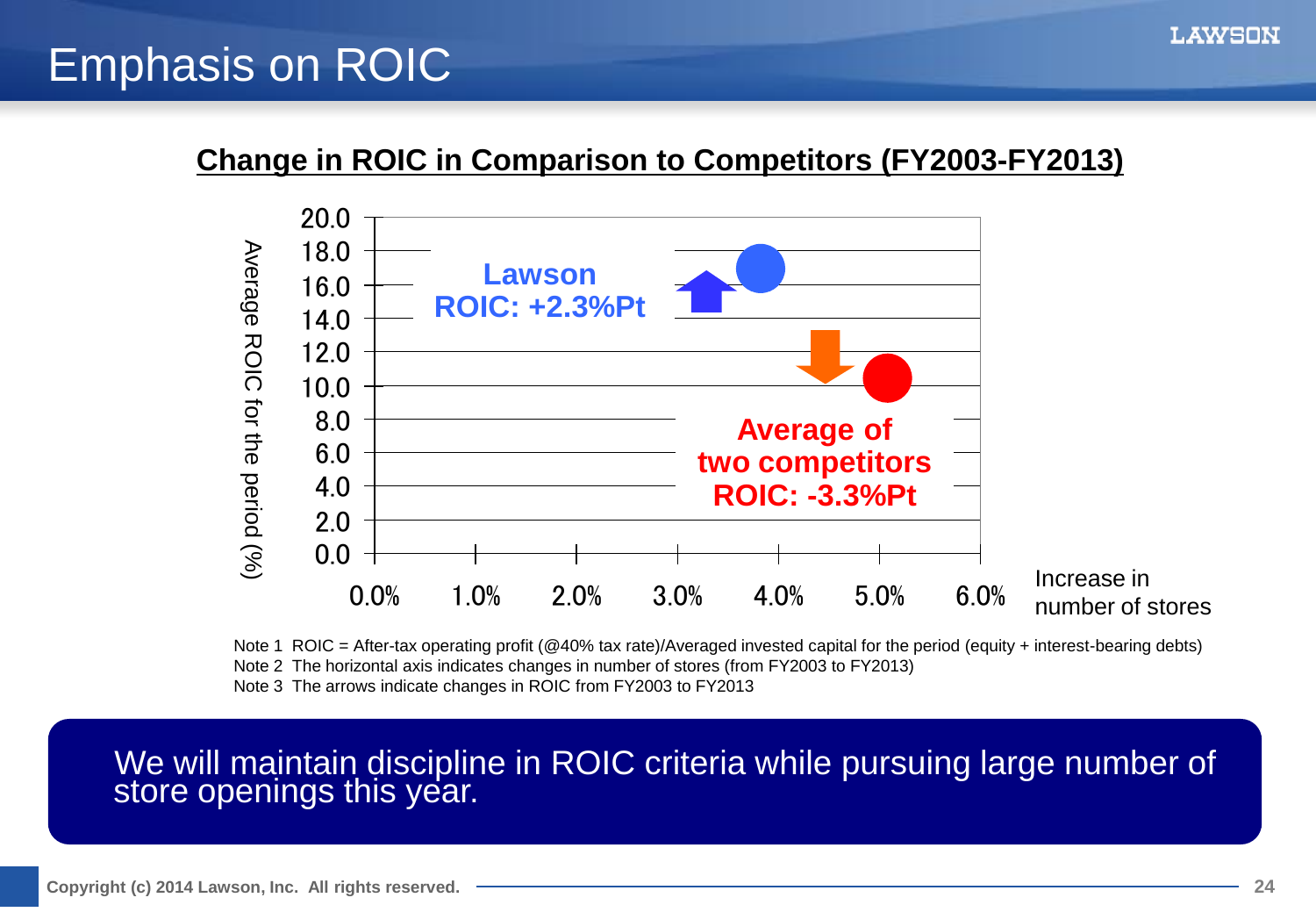## Emphasis on ROIC

#### **Change in ROIC in Comparison to Competitors (FY2003-FY2013)**



Note 1 ROIC = After-tax operating profit (@40% tax rate)/Averaged invested capital for the period (equity + interest-bearing debts) Note 2 The horizontal axis indicates changes in number of stores (from FY2003 to FY2013) Note 3 The arrows indicate changes in ROIC from FY2003 to FY2013

#### We will maintain discipline in ROIC criteria while pursuing large number of store openings this year.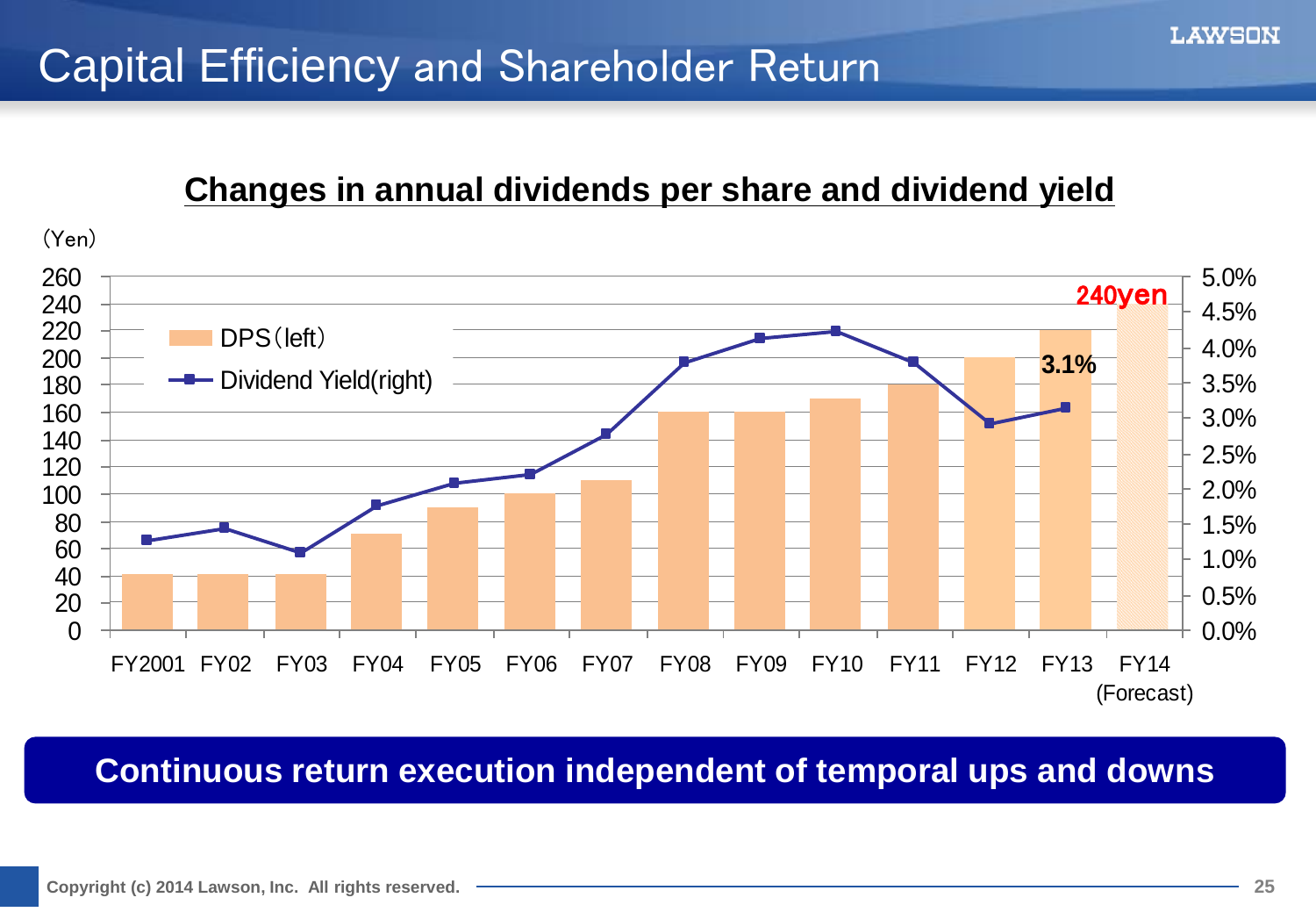## Capital Efficiency and Shareholder Return

#### **Changes in annual dividends per share and dividend yield**

![](_page_24_Figure_3.jpeg)

#### **Continuous return execution independent of temporal ups and downs**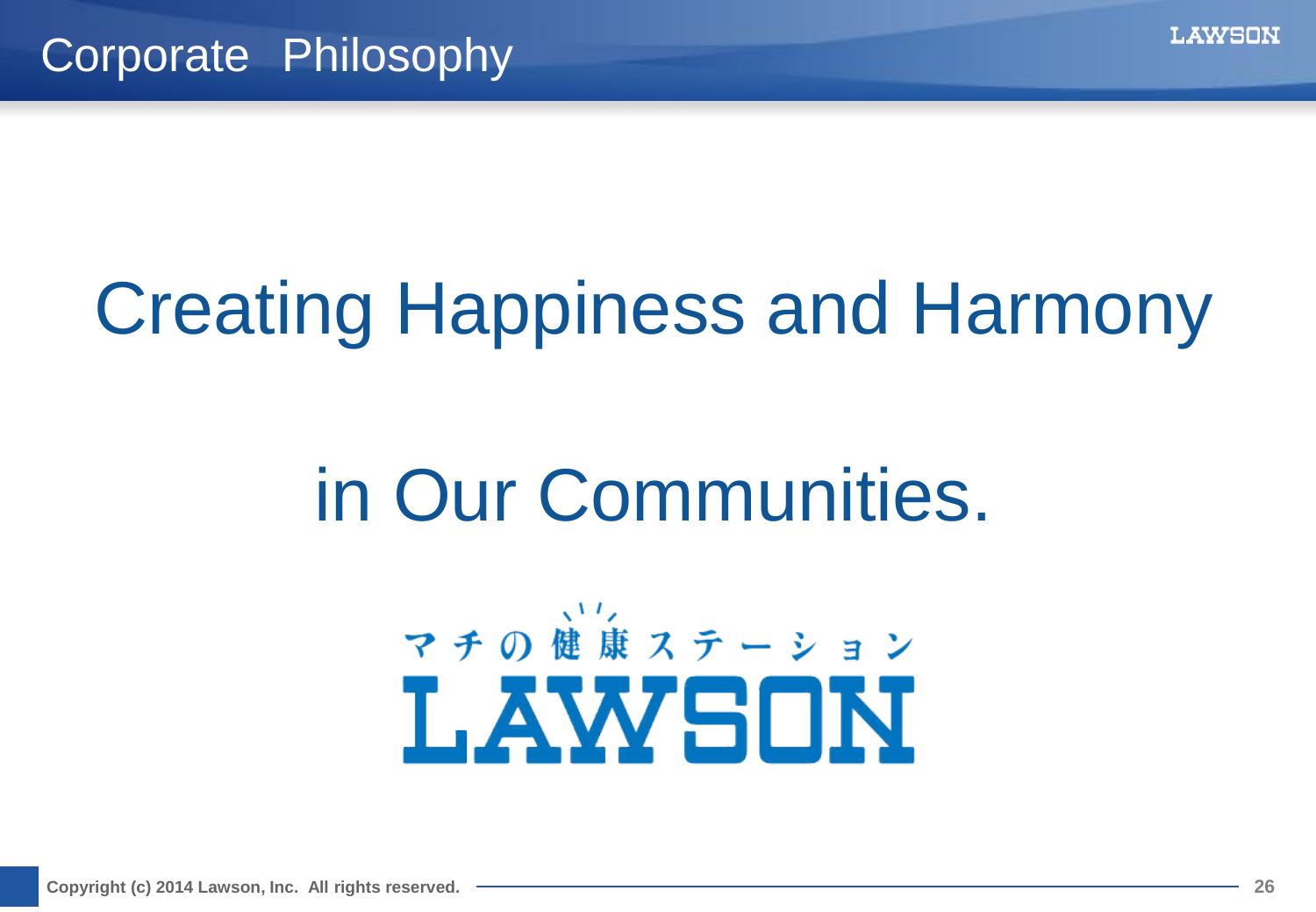# Creating Happiness and Harmony

# in Our Communities.

![](_page_25_Picture_4.jpeg)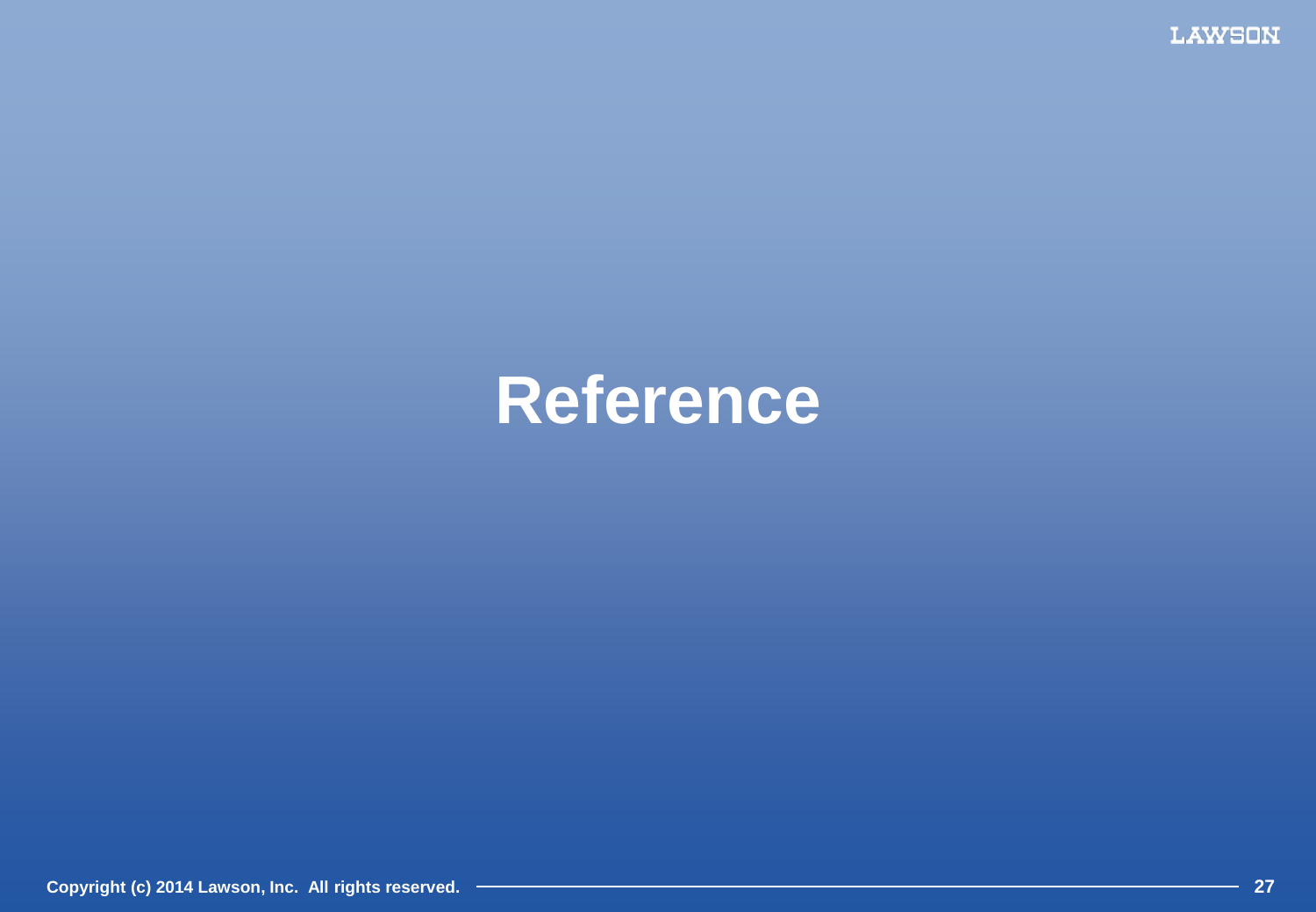**LAWSON** 

# **Reference**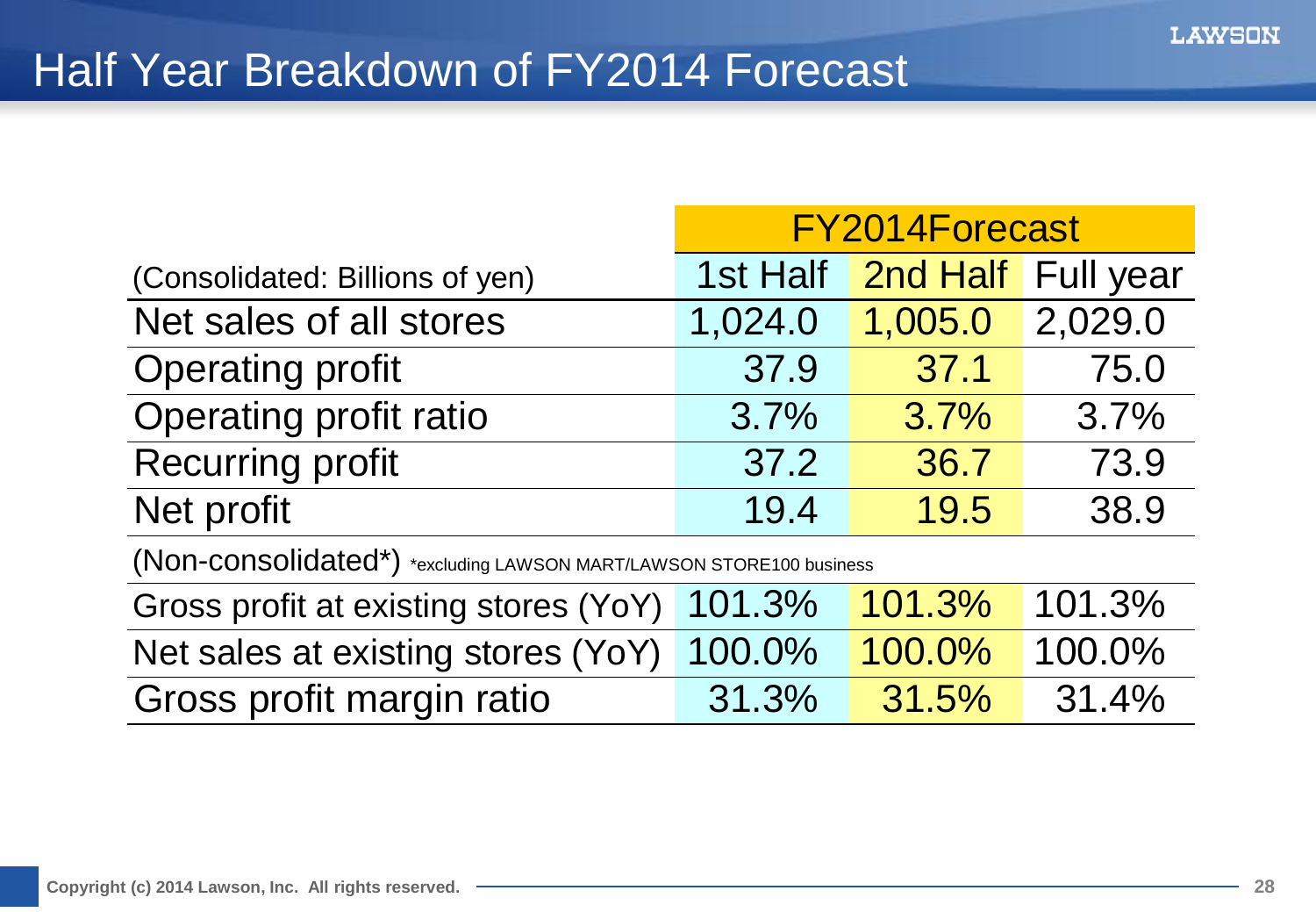## Half Year Breakdown of FY2014 Forecast

|                                 | FY2014Forecast |                             |         |
|---------------------------------|----------------|-----------------------------|---------|
| (Consolidated: Billions of yen) |                | 1st Half 2nd Half Full year |         |
| Net sales of all stores         | 1,024.0        | 1,005.0                     | 2,029.0 |
| <b>Operating profit</b>         | 37.9           | 37.1                        | 75.0    |
| Operating profit ratio          | 3.7%           | 3.7%                        | 3.7%    |
| <b>Recurring profit</b>         | 37.2           | 36.7                        | 73.9    |
| Net profit                      | 19.4           | 19.5                        | 38.9    |
|                                 |                |                             |         |

(Non-consolidated\*) \*excluding LAWSON MART/LAWSON STORE100 business

| Gross profit at existing stores (YoY) 101.3% 101.3% 101.3% |       |          |          |
|------------------------------------------------------------|-------|----------|----------|
| Net sales at existing stores (YoY) 100.0% 100.0% 100.0%    |       |          |          |
| Gross profit margin ratio                                  | 31.3% | $31.5\%$ | $31.4\%$ |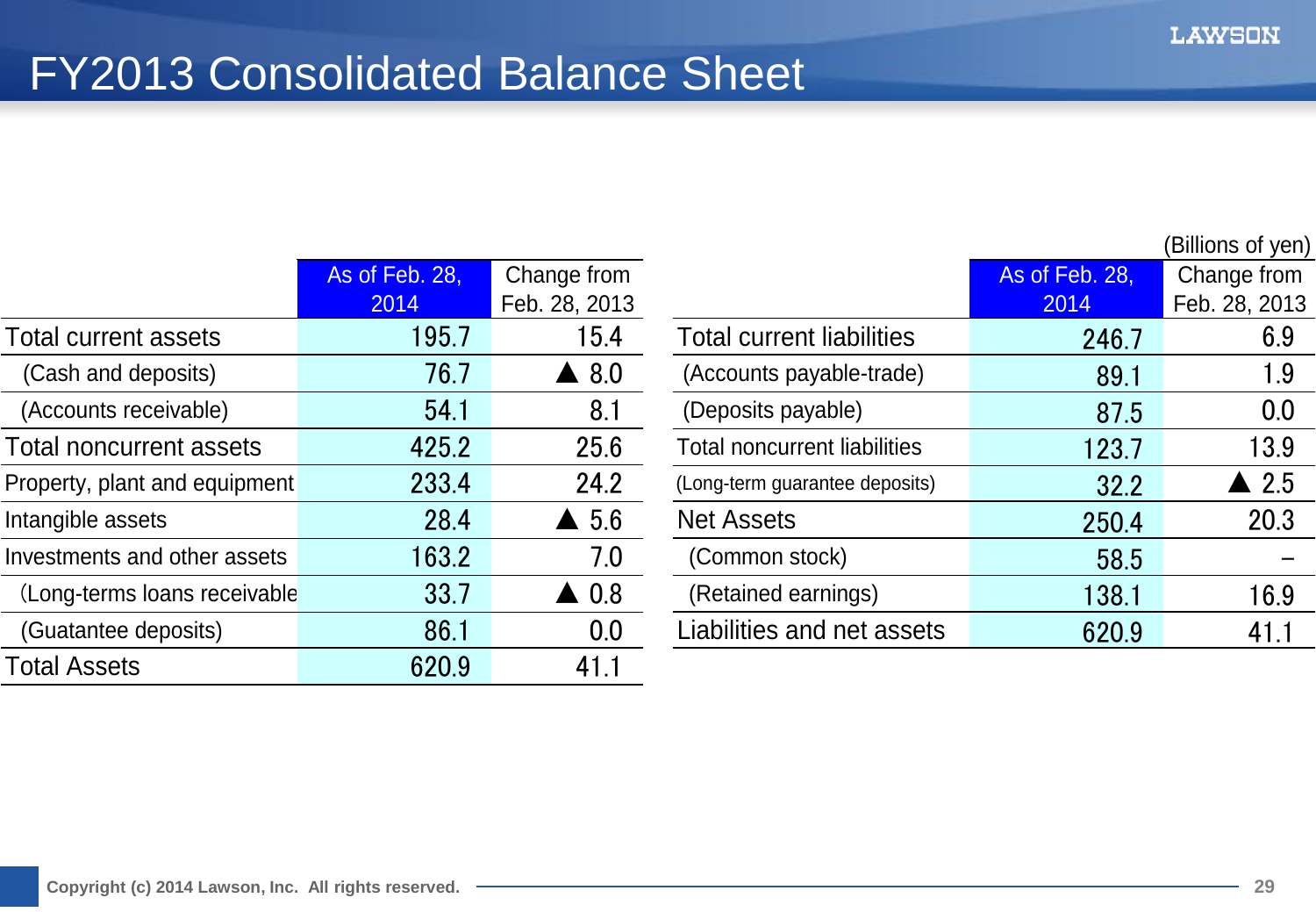## FY2013 Consolidated Balance Sheet

|                               | As of Feb. 28, | Change from     |                                     | As of Feb. 28, | Change from     |
|-------------------------------|----------------|-----------------|-------------------------------------|----------------|-----------------|
|                               | 2014           | Feb. 28, 2013   |                                     | 2014           | Feb. 28, 201    |
| Total current assets          | 195.7          | 15.4            | <b>Total current liabilities</b>    | 246.7          | 6.9             |
| (Cash and deposits)           | 76.7           | $\triangle$ 8.0 | (Accounts payable-trade)            | 89.1           | 1.9             |
| (Accounts receivable)         | 54.1           | 8.1             | (Deposits payable)                  | 87.5           | 0.0             |
| Total noncurrent assets       | 425.2          | 25.6            | <b>Total noncurrent liabilities</b> | 123.7          | 13.9            |
| Property, plant and equipment | 233.4          | 24.2            | (Long-term guarantee deposits)      | 32.2           | $\triangle$ 2.5 |
| Intangible assets             | 28.4           | $\triangle$ 5.6 | <b>Net Assets</b>                   | 250.4          | 20.3            |
| Investments and other assets  | 163.2          | 7.0             | (Common stock)                      | 58.5           |                 |
| (Long-terms loans receivable  | 33.7           | $\triangle$ 0.8 | (Retained earnings)                 | 138.1          | 16.9            |
| (Guatantee deposits)          | 86.1           | 0.0             | Liabilities and net assets          | 620.9          | 41.1            |
| <b>Total Assets</b>           | 620.9          | 41.1            |                                     |                |                 |

|                                     |                | (Billions of yen) |
|-------------------------------------|----------------|-------------------|
|                                     | As of Feb. 28, | Change from       |
|                                     | 2014           | Feb. 28, 2013     |
| <b>Total current liabilities</b>    | 246.7          | 6.9               |
| (Accounts payable-trade)            | 89.1           | 1.9               |
| (Deposits payable)                  | 87.5           | 0.0               |
| <b>Total noncurrent liabilities</b> | 123.7          | 13.9              |
| (Long-term guarantee deposits)      | 32.2           | $\triangle$ 2.5   |
| <b>Net Assets</b>                   | 250.4          | 20.3              |
| (Common stock)                      | 58.5           |                   |
| (Retained earnings)                 | 138.1          | 16.9              |
| Liabilities and net assets          | 620.9          | 41.1              |
|                                     |                |                   |